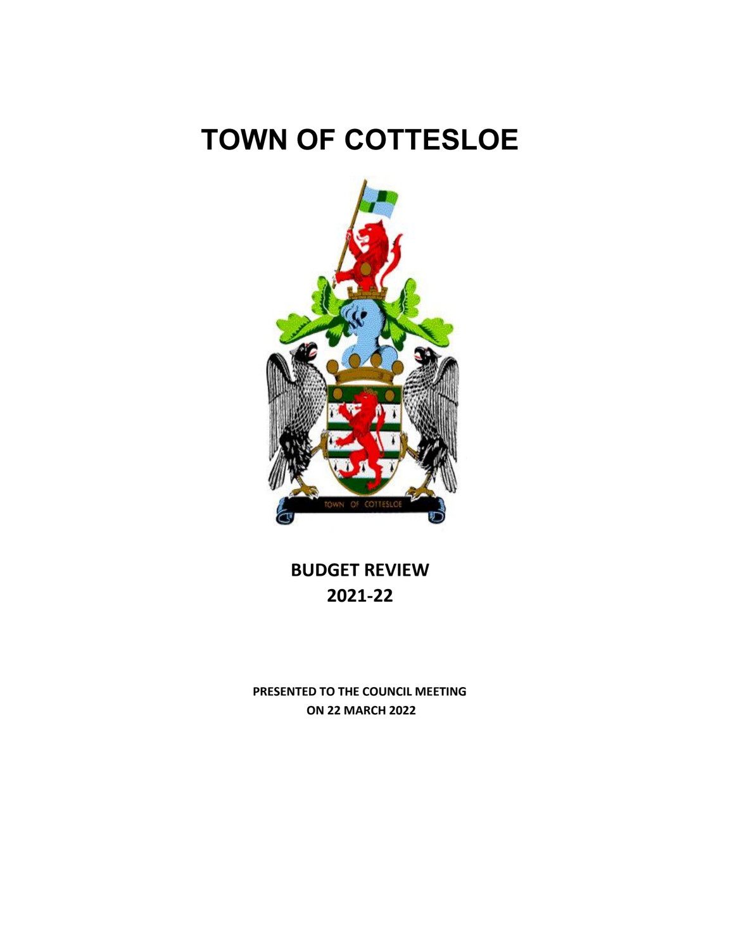# **TOWN OF COTTESLOE**



**BUDGET REVIEW 2021‐22**

**PRESENTED TO THE COUNCIL MEETING ON 22 MARCH 2022**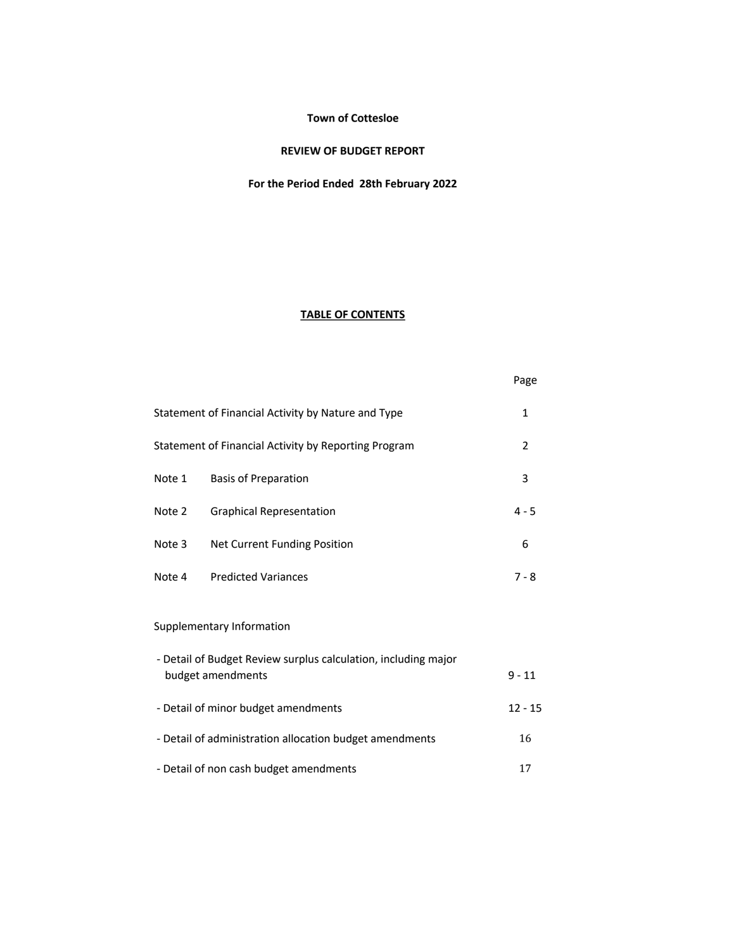#### **Town of Cottesloe**

### **REVIEW OF BUDGET REPORT**

# **For the Period Ended 28th February 2022**

# **TABLE OF CONTENTS**

|        |                                                                                     | Page         |
|--------|-------------------------------------------------------------------------------------|--------------|
|        | Statement of Financial Activity by Nature and Type                                  | $\mathbf{1}$ |
|        | Statement of Financial Activity by Reporting Program                                | 2            |
| Note 1 | <b>Basis of Preparation</b>                                                         | 3            |
| Note 2 | <b>Graphical Representation</b>                                                     | $4 - 5$      |
| Note 3 | Net Current Funding Position                                                        | 6            |
| Note 4 | <b>Predicted Variances</b>                                                          | $7 - 8$      |
|        | Supplementary Information                                                           |              |
|        | - Detail of Budget Review surplus calculation, including major<br>budget amendments | $9 - 11$     |
|        | - Detail of minor budget amendments                                                 | $12 - 15$    |
|        | - Detail of administration allocation budget amendments                             | 16           |
|        | - Detail of non cash budget amendments                                              | 17           |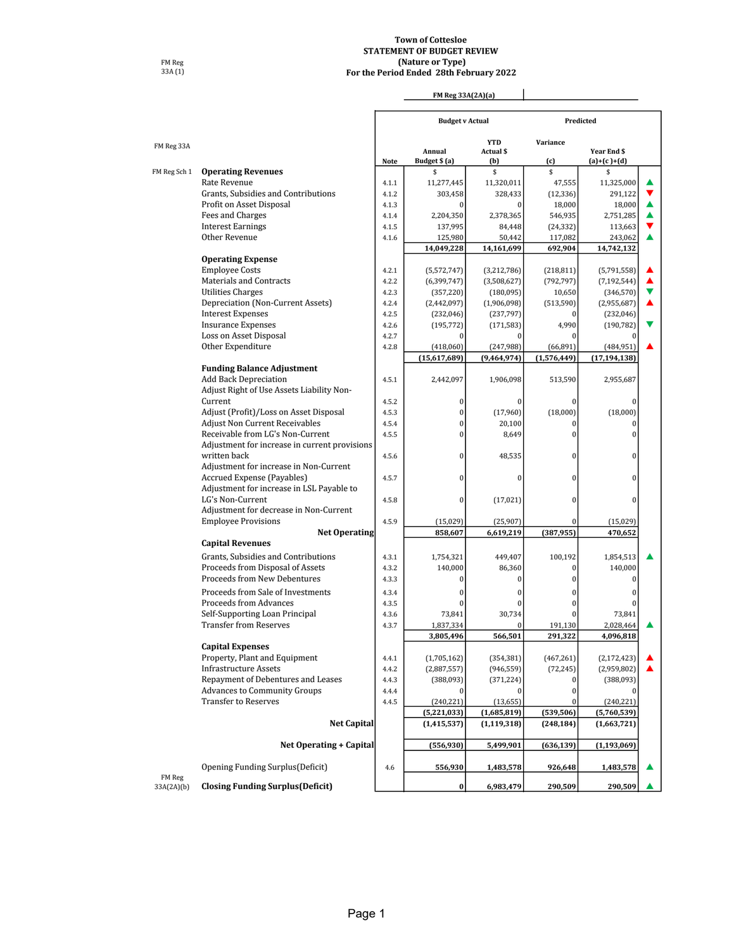#### **(Nature or Type) Town of Cottesloe STATEMENT OF BUDGET REVIEW For the Period Ended 28th February 2022**

 $\overline{\phantom{a}}$ 

'n

FM Reg 33A (1)

### **FM Reg 33A(2A)(a)**

J.

|                      |                                               |                | <b>Budget v Actual</b> |                     |                      | Predicted          |   |
|----------------------|-----------------------------------------------|----------------|------------------------|---------------------|----------------------|--------------------|---|
|                      |                                               |                |                        | <b>YTD</b>          | Variance             |                    |   |
| FM Reg 33A           |                                               |                | Annual                 | Actual \$           |                      | Year End \$        |   |
|                      |                                               | Note           | Budget \$ (a)          | (b)                 | (c)                  | $(a)+(c)+(d)$      |   |
| FM Reg Sch 1         | <b>Operating Revenues</b>                     |                | \$                     | \$                  | \$                   | \$                 |   |
|                      | Rate Revenue                                  | 4.1.1          | 11,277,445             | 11,320,011          | 47.555               | 11,325,000         | ▲ |
|                      | Grants, Subsidies and Contributions           | 4.1.2          | 303,458<br>$\theta$    | 328,433<br>$\Omega$ | (12, 336)            | 291,122            | ▲ |
|                      | Profit on Asset Disposal                      | 4.1.3<br>4.1.4 |                        | 2,378,365           | 18,000               | 18,000             | ▲ |
|                      | Fees and Charges                              |                | 2,204,350              |                     | 546,935              | 2,751,285          | ▼ |
|                      | <b>Interest Earnings</b><br>Other Revenue     | 4.1.5<br>4.1.6 | 137,995                | 84,448<br>50,442    | (24, 332)<br>117,082 | 113,663<br>243,062 | ▲ |
|                      |                                               |                | 125,980<br>14,049,228  | 14,161,699          | 692,904              | 14,742,132         |   |
|                      | <b>Operating Expense</b>                      |                |                        |                     |                      |                    |   |
|                      | <b>Employee Costs</b>                         | 4.2.1          | (5,572,747)            | (3,212,786)         | (218, 811)           | (5,791,558)        |   |
|                      | Materials and Contracts                       | 4.2.2          | (6, 399, 747)          | (3,508,627)         | (792, 797)           | (7, 192, 544)      |   |
|                      | Utilities Charges                             | 4.2.3          | (357, 220)             | (180, 095)          | 10,650               | (346, 570)         | v |
|                      | Depreciation (Non-Current Assets)             | 4.2.4          | (2,442,097)            | (1,906,098)         | (513,590)            | (2,955,687)        | ▲ |
|                      | <b>Interest Expenses</b>                      | 4.2.5          | (232, 046)             | (237, 797)          | $\mathbf{0}$         | (232,046)          |   |
|                      | <b>Insurance Expenses</b>                     | 4.2.6          | (195, 772)             | (171, 583)          | 4,990                | (190, 782)         |   |
|                      | Loss on Asset Disposal                        | 4.2.7          | $\bf{0}$               |                     |                      | $\bf{0}$           |   |
|                      | Other Expenditure                             | 4.2.8          | (418,060)              | (247,988)           | (66, 891)            | (484, 951)         |   |
|                      |                                               |                | (15,617,689)           | (9,464,974)         | (1,576,449)          | (17, 194, 138)     |   |
|                      | <b>Funding Balance Adjustment</b>             |                |                        |                     |                      |                    |   |
|                      | <b>Add Back Depreciation</b>                  | 4.5.1          | 2,442,097              | 1,906,098           | 513,590              | 2,955,687          |   |
|                      | Adjust Right of Use Assets Liability Non-     |                |                        |                     |                      |                    |   |
|                      | Current                                       | 4.5.2          | $\bf{0}$               |                     | $\mathbf{0}$         | $\Omega$           |   |
|                      | Adjust (Profit)/Loss on Asset Disposal        | 4.5.3          | $\bf{0}$               | (17,960)            | (18,000)             | (18,000)           |   |
|                      | <b>Adjust Non Current Receivables</b>         | 4.5.4          | $\bf{0}$               | 20,100              | $\bf{0}$             | 0                  |   |
|                      | Receivable from LG's Non-Current              | 4.5.5          | $\overline{0}$         | 8,649               | $\mathbf{0}$         | $\bf{0}$           |   |
|                      | Adjustment for increase in current provisions |                |                        |                     |                      |                    |   |
|                      | written back                                  | 4.5.6          | $\bf{0}$               | 48,535              | $\mathbf{0}$         | $\bf{0}$           |   |
|                      | Adjustment for increase in Non-Current        |                |                        |                     |                      |                    |   |
|                      | Accrued Expense (Payables)                    | 4.5.7          | $\bf{0}$               | $\bf{0}$            | $\overline{0}$       | $\bf{0}$           |   |
|                      | Adjustment for increase in LSL Payable to     |                |                        |                     |                      |                    |   |
|                      | LG's Non-Current                              | 4.5.8          | $\bf{0}$               | (17, 021)           | $\overline{0}$       | $\theta$           |   |
|                      | Adjustment for decrease in Non-Current        |                |                        |                     |                      |                    |   |
|                      | <b>Employee Provisions</b>                    | 4.5.9          | (15,029)               | (25,907)            | $\bf{0}$             | (15,029)           |   |
|                      | <b>Net Operating</b>                          |                | 858,607                | 6,619,219           | (387, 955)           | 470,652            |   |
|                      | <b>Capital Revenues</b>                       |                |                        |                     |                      |                    |   |
|                      | Grants, Subsidies and Contributions           | 4.3.1          | 1,754,321              | 449,407             | 100,192              | 1,854,513          |   |
|                      | Proceeds from Disposal of Assets              | 4.3.2          | 140,000                | 86,360              | 0                    | 140,000            |   |
|                      | Proceeds from New Debentures                  | 4.3.3          | $\theta$               | $\bf{0}$            | $\mathbf{0}$         | $\bf{0}$           |   |
|                      | Proceeds from Sale of Investments             | 4.3.4          | $\bf{0}$               | $\bf{0}$            | $\overline{0}$       | $\bf{0}$           |   |
|                      | <b>Proceeds from Advances</b>                 | 4.3.5          | $\Omega$               |                     | $\overline{0}$       | $\Omega$           |   |
|                      | Self-Supporting Loan Principal                | 4.3.6          | 73,841                 | 30,734              | $\Omega$             | 73,841             |   |
|                      | <b>Transfer from Reserves</b>                 | 4.3.7          | 1,837,334              |                     | 191,130              | 2,028,464          |   |
|                      |                                               |                | 3,805,496              | 566,501             | 291,322              | 4,096,818          |   |
|                      | <b>Capital Expenses</b>                       |                |                        |                     |                      |                    |   |
|                      | Property, Plant and Equipment                 | 4.4.1          | (1,705,162)            | (354, 381)          | (467, 261)           | (2, 172, 423)      | ▲ |
|                      | <b>Infrastructure Assets</b>                  | 4.4.2          | (2,887,557)            | (946, 559)          | (72, 245)            | (2,959,802)        | ▲ |
|                      | Repayment of Debentures and Leases            | 4.4.3          | (388,093)              | (371, 224)          | $\bf{0}$             | (388,093)          |   |
|                      | <b>Advances to Community Groups</b>           | 4.4.4          | $\boldsymbol{0}$       | 0                   | $\boldsymbol{0}$     | $\mathbf{0}$       |   |
|                      | <b>Transfer to Reserves</b>                   | 4.4.5          | (240, 221)             | (13, 655)           | $\mathbf{0}$         | (240, 221)         |   |
|                      |                                               |                | (5,221,033)            | (1,685,819)         | (539, 506)           | (5,760,539)        |   |
|                      | <b>Net Capital</b>                            |                | (1, 415, 537)          | (1, 119, 318)       | (248, 184)           | (1,663,721)        |   |
|                      | <b>Net Operating + Capital</b>                |                | (556, 930)             | 5,499,901           | (636, 139)           | (1, 193, 069)      |   |
|                      | Opening Funding Surplus (Deficit)             | 4.6            | 556,930                | 1,483,578           | 926,648              | 1,483,578          |   |
| FM Reg<br>33A(2A)(b) | <b>Closing Funding Surplus (Deficit)</b>      |                | $\pmb{0}$              | 6,983,479           | 290,509              | 290,509            |   |
|                      |                                               |                |                        |                     |                      |                    |   |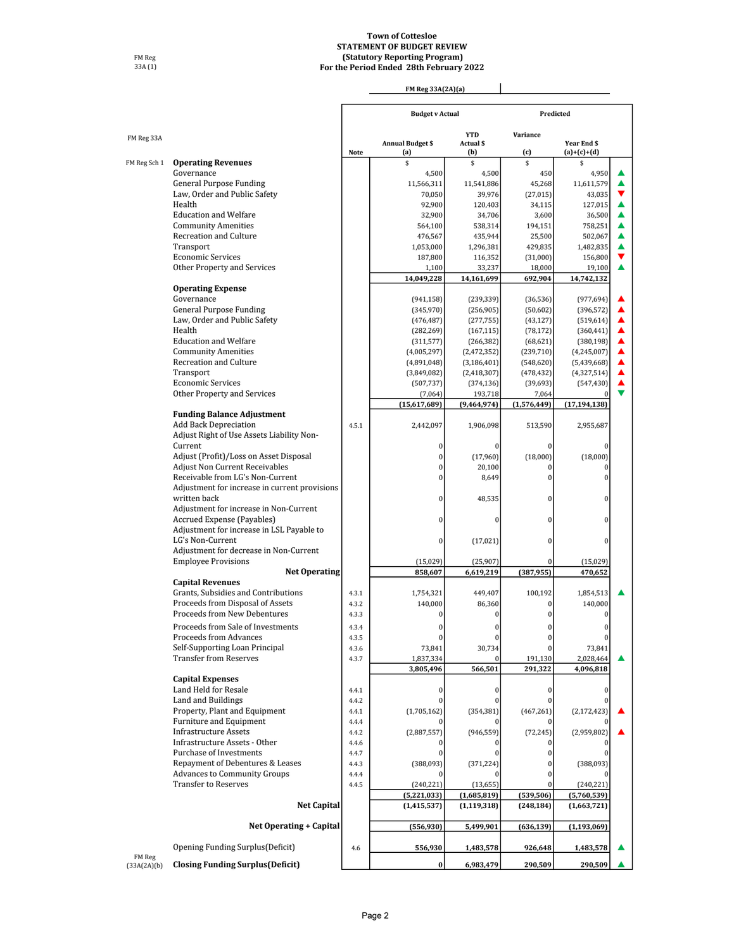#### **Town of Cottesloe STATEMENT OF BUDGET REVIEW (Statutory Reporting Program) For the Period Ended 28th February 2022**

FM Reg 33A (1)

|  | FM Reg 33A(2A)(a) |  |  |
|--|-------------------|--|--|

|                       |                                                                           |             | FM Reg 33A(2A)(a)              |                                       |                          |                              |   |
|-----------------------|---------------------------------------------------------------------------|-------------|--------------------------------|---------------------------------------|--------------------------|------------------------------|---|
|                       |                                                                           |             |                                | <b>Budget v Actual</b>                |                          | Predicted                    |   |
| FM Reg 33A            |                                                                           | <b>Note</b> | <b>Annual Budget \$</b><br>(a) | <b>YTD</b><br><b>Actual \$</b><br>(b) | Variance<br>(c)          | Year End \$<br>$(a)+(c)+(d)$ |   |
| FM Reg Sch 1          | <b>Operating Revenues</b>                                                 |             | \$                             | \$                                    | \$                       | \$                           |   |
|                       | Governance                                                                |             | 4,500                          | 4,500                                 | 450                      | 4,950                        |   |
|                       | <b>General Purpose Funding</b>                                            |             | 11,566,311                     | 11,541,886                            | 45,268                   | 11,611,579                   |   |
|                       | Law, Order and Public Safety                                              |             | 70,050                         | 39,976                                | (27, 015)                | 43,035                       |   |
|                       | Health                                                                    |             | 92,900                         | 120,403                               | 34,115                   | 127,015                      |   |
|                       | <b>Education and Welfare</b>                                              |             | 32,900                         | 34,706                                | 3,600                    | 36,500                       |   |
|                       | <b>Community Amenities</b><br>Recreation and Culture                      |             | 564,100                        | 538,314                               | 194,151                  | 758,251                      |   |
|                       | Transport                                                                 |             | 476,567<br>1,053,000           | 435,944<br>1,296,381                  | 25,500<br>429,835        | 502,067<br>1,482,835         | ▲ |
|                       | <b>Economic Services</b>                                                  |             | 187,800                        | 116,352                               | (31,000)                 | 156,800                      |   |
|                       | Other Property and Services                                               |             | 1,100                          | 33,237                                | 18,000                   | 19,100                       |   |
|                       |                                                                           |             | 14,049,228                     | 14,161,699                            | 692,904                  | 14,742,132                   |   |
|                       | <b>Operating Expense</b>                                                  |             |                                |                                       |                          |                              |   |
|                       | Governance                                                                |             | (941, 158)                     | (239, 339)                            | (36, 536)                | (977, 694)                   |   |
|                       | General Purpose Funding                                                   |             | (345,970)                      | (256, 905)                            | (50,602)                 | (396, 572)                   |   |
|                       | Law, Order and Public Safety                                              |             | (476, 487)                     | (277, 755)                            | (43, 127)                | (519, 614)                   |   |
|                       | Health                                                                    |             | (282, 269)                     | (167, 115)                            | (78, 172)                | (360, 441)                   |   |
|                       | <b>Education and Welfare</b>                                              |             | (311, 577)                     | (266, 382)                            | (68, 621)                | (380, 198)                   |   |
|                       | <b>Community Amenities</b>                                                |             | (4,005,297)                    | (2,472,352)                           | (239, 710)               | (4,245,007)                  |   |
|                       | Recreation and Culture                                                    |             | (4,891,048)                    | (3, 186, 401)                         | (548, 620)               | (5,439,668)                  |   |
|                       | Transport<br><b>Economic Services</b>                                     |             | (3,849,082)<br>(507, 737)      | (2, 418, 307)<br>(374, 136)           | (478, 432)<br>(39, 693)  | (4,327,514)<br>(547, 430)    |   |
|                       | Other Property and Services                                               |             | (7,064)                        | 193,718                               | 7,064                    |                              |   |
|                       |                                                                           |             | (15,617,689)                   | (9,464,974)                           | (1,576,449)              | (17, 194, 138)               |   |
|                       | <b>Funding Balance Adjustment</b>                                         |             |                                |                                       |                          |                              |   |
|                       | <b>Add Back Depreciation</b><br>Adjust Right of Use Assets Liability Non- | 4.5.1       | 2,442,097                      | 1,906,098                             | 513,590                  | 2,955,687                    |   |
|                       | Current                                                                   |             | $\mathbf{0}$                   | $\mathbf{0}$                          | $\mathbf{0}$             | $\Omega$                     |   |
|                       | Adjust (Profit)/Loss on Asset Disposal                                    |             | $\theta$                       | (17,960)                              | (18,000)                 | (18,000)                     |   |
|                       | <b>Adjust Non Current Receivables</b>                                     |             | $\theta$                       | 20,100                                | $\bf{0}$                 |                              |   |
|                       | Receivable from LG's Non-Current                                          |             |                                | 8,649                                 | $\theta$                 | $\Omega$                     |   |
|                       | Adjustment for increase in current provisions                             |             |                                |                                       |                          |                              |   |
|                       | written back                                                              |             | $\Omega$                       | 48,535                                | $\bf{0}$                 | $\Omega$                     |   |
|                       | Adjustment for increase in Non-Current                                    |             |                                |                                       |                          |                              |   |
|                       | Accrued Expense (Payables)                                                |             | $\Omega$                       | 0                                     | $\bf{0}$                 | 0                            |   |
|                       | Adjustment for increase in LSL Payable to                                 |             |                                |                                       |                          |                              |   |
|                       | LG's Non-Current                                                          |             | $\bf{0}$                       | (17, 021)                             | $\mathbf{0}$             | 0                            |   |
|                       | Adjustment for decrease in Non-Current<br><b>Employee Provisions</b>      |             | (15,029)                       | (25,907)                              | $\mathbf{0}$             | (15,029)                     |   |
|                       | <b>Net Operating</b>                                                      |             | 858,607                        | 6,619,219                             | (387, 955)               | 470,652                      |   |
|                       | <b>Capital Revenues</b>                                                   |             |                                |                                       |                          |                              |   |
|                       | Grants. Subsidies and Contributions                                       | 4.3.1       | 1,754,321                      | 449,407                               | 100,192                  | 1,854,513                    |   |
|                       | Proceeds from Disposal of Assets                                          | 4.3.2       | 140,000                        | 86,360                                | $\bf{0}$                 | 140.000                      |   |
|                       | Proceeds from New Debentures                                              | 4.3.3       | $\bf{0}$                       | 0                                     | $\mathbf{0}$             | $\mathbf{0}$                 |   |
|                       | Proceeds from Sale of Investments                                         | 4.3.4       | $\Omega$                       | $\bf{0}$                              | $\Omega$                 | $\Omega$                     |   |
|                       | Proceeds from Advances                                                    | 4.3.5       |                                | $\Omega$                              | $\Omega$                 | $\Omega$                     |   |
|                       | Self-Supporting Loan Principal                                            | 4.3.6       | 73,841                         | 30,734                                |                          | 73,841                       |   |
|                       | <b>Transfer from Reserves</b>                                             | 4.3.7       | 1,837,334                      |                                       | 191,130                  | 2,028,464                    |   |
|                       | <b>Capital Expenses</b>                                                   |             | 3,805,496                      | 566,501                               | 291,322                  | 4,096,818                    |   |
|                       | Land Held for Resale                                                      | 4.4.1       | $\bf{0}$                       | $\Omega$                              | $\mathbf{0}$             |                              |   |
|                       | Land and Buildings                                                        | 4.4.2       |                                |                                       | $\theta$                 |                              |   |
|                       | Property, Plant and Equipment                                             | 4.4.1       | (1,705,162)                    | (354, 381)                            | (467, 261)               | (2, 172, 423)                |   |
|                       | Furniture and Equipment                                                   | 4.4.4       |                                |                                       |                          |                              |   |
|                       | <b>Infrastructure Assets</b>                                              | 4.4.2       | (2,887,557)                    | (946, 559)                            | (72, 245)                | (2,959,802)                  |   |
|                       | Infrastructure Assets - Other                                             | 4.4.6       |                                |                                       |                          |                              |   |
|                       | Purchase of Investments                                                   | 4.4.7       | $\Omega$                       | $\Omega$                              | $\theta$                 |                              |   |
|                       | Repayment of Debentures & Leases                                          | 4.4.3       | (388,093)                      | (371, 224)                            | 0                        | (388,093)                    |   |
|                       | <b>Advances to Community Groups</b>                                       | 4.4.4       |                                |                                       | $\theta$                 |                              |   |
|                       | <b>Transfer to Reserves</b>                                               | 4.4.5       | (240, 221)                     | (13, 655)                             |                          | (240, 221)                   |   |
|                       | <b>Net Capital</b>                                                        |             | (5,221,033)<br>(1, 415, 537)   | (1,685,819)<br>(1, 119, 318)          | (539, 506)<br>(248, 184) | (5,760,539)<br>(1,663,721)   |   |
|                       |                                                                           |             |                                |                                       |                          |                              |   |
|                       | <b>Net Operating + Capital</b>                                            |             | (556, 930)                     | 5,499,901                             | (636, 139)               | (1, 193, 069)                |   |
|                       | Opening Funding Surplus (Deficit)                                         | 4.6         | 556,930                        | 1,483,578                             | 926,648                  | 1,483,578                    |   |
| FM Reg<br>(33A(2A)(b) | <b>Closing Funding Surplus (Deficit)</b>                                  |             | $\bf{0}$                       | 6,983,479                             | 290,509                  | 290,509                      |   |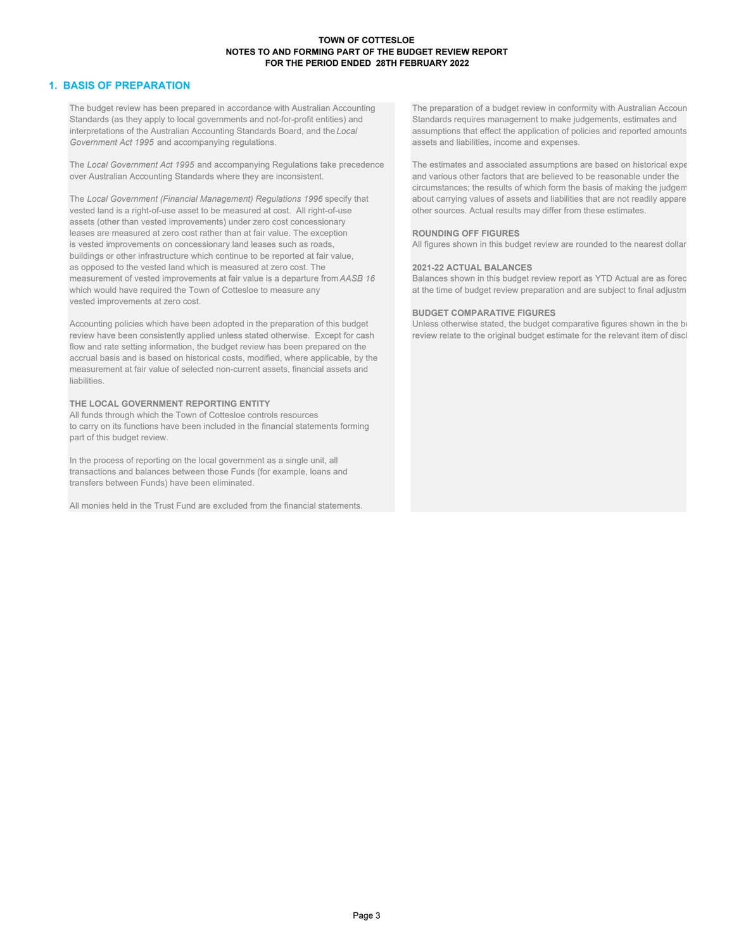#### **TOWN OF COTTESLOE NOTES TO AND FORMING PART OF THE BUDGET REVIEW REPORT FOR THE PERIOD ENDED 28TH FEBRUARY 2022**

#### **1. BASIS OF PREPARATION**

The budget review has been prepared in accordance with Australian Accounting The preparation of a budget review in conformity with Australian Accoun Standards (as they apply to local governments and not-for-profit entities) and Standards requires management to make judgements, estimates and interpretations of the Australian Accounting Standards Board, and the *Local* assumptions that effect the application of policies and reported amounts Government Act 1995 and accompanying regulations. **Accord 2016** assets and liabilities, income and expenses.

The Local Government Act 1995 and accompanying Regulations take precedence The estimates and associated assumptions are based on historical expe over Australian Accounting Standards where they are inconsistent. The manner of and various other factors that are believed to be reasonable under the

The Local Government (Financial Management) Regulations 1996 specify that about carrying values of assets and liabilities that are not readily appare vested land is a right-of-use asset to be measured at cost. All right-of vested land is a right-of-use asset to be measured at cost. All right-of-use assets (other than vested improvements) under zero cost concessionary leases are measured at zero cost rather than at fair value. The exception **ROUNDING OFF FIGURES** is vested improvements on concessionary land leases such as roads, All figures shown in this budget review are rounded to the nearest dollar buildings or other infrastructure which continue to be reported at fair value, as opposed to the vested land which is measured at zero cost. The **2021-22 ACTUAL BALANCES** measurement of vested improvements at fair value is a departure from *AASB 16* Balances shown in this budget review report as YTD Actual are as forec which would have required the Town of Cottesloe to measure any at the time of budget review preparation and are subject to final adjustm vested improvements at zero cost.

Accounting policies which have been adopted in the preparation of this budget review have been consistently applied unless stated otherwise. Except for cash review relate to the original budget estimate for the relevant item of discl flow and rate setting information, the budget review has been prepared on the accrual basis and is based on historical costs, modified, where applicable, by the measurement at fair value of selected non-current assets, financial assets and liabilities.

#### **THE LOCAL GOVERNMENT REPORTING ENTITY**

All funds through which the Town of Cottesloe controls resources to carry on its functions have been included in the financial statements forming part of this budget review.

In the process of reporting on the local government as a single unit, all transactions and balances between those Funds (for example, loans and transfers between Funds) have been eliminated.

All monies held in the Trust Fund are excluded from the financial statements.

circumstances; the results of which form the basis of making the judgem

**BUDGET COMPARATIVE FIGURES**<br>Unless otherwise stated, the budget comparative figures shown in the bi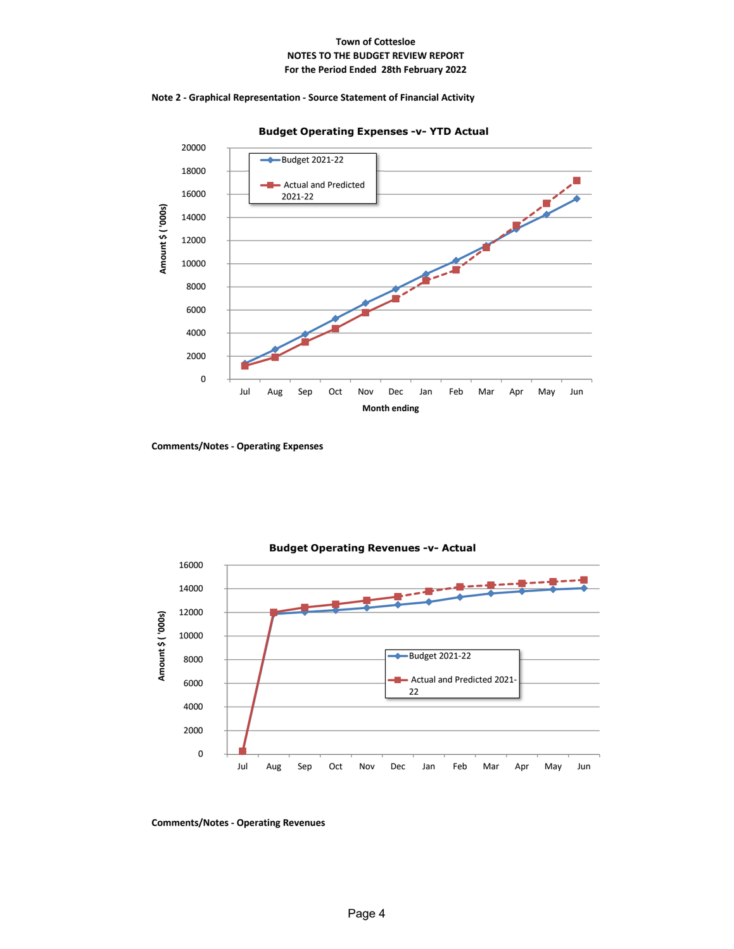#### **Town of Cottesloe NOTES TO THE BUDGET REVIEW REPORT For the Period Ended 28th February 2022**









#### **Comments/Notes ‐ Operating Revenues**

**Comments/Notes ‐ Operating Expenses**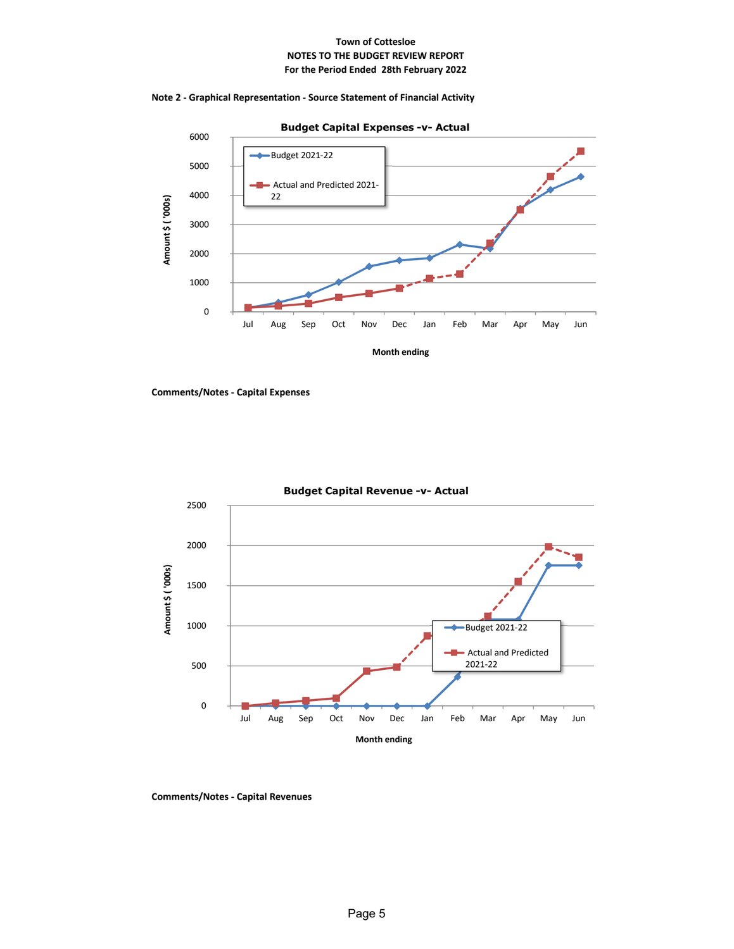#### **Town of Cottesloe NOTES TO THE BUDGET REVIEW REPORT For the Period Ended 28th February 2022**





**Comments/Notes ‐ Capital Expenses**



**Budget Capital Revenue -v- Actual** 

**Comments/Notes ‐ Capital Revenues**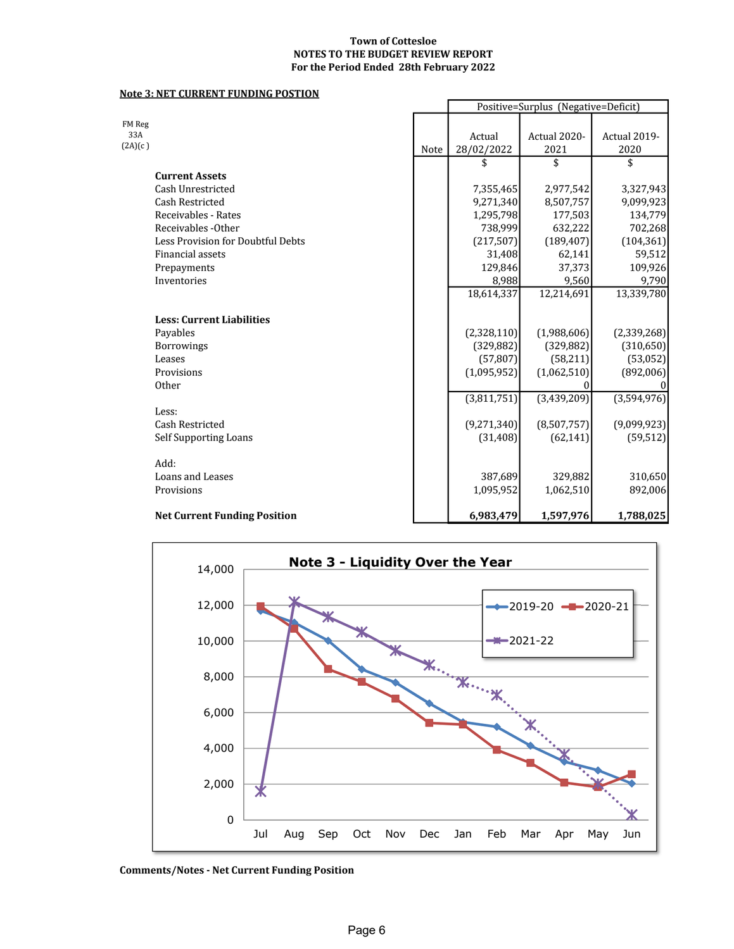#### **Town of Cottesloe NOTES TO THE BUDGET REVIEW REPORT For the Period Ended 28th February 2022**

#### **Note 3: NET CURRENT FUNDING POSTION**

|                                     |      |             | Positive=Surplus (Negative=Deficit) |              |
|-------------------------------------|------|-------------|-------------------------------------|--------------|
| FM Reg                              |      |             |                                     |              |
| 33A                                 |      | Actual      | Actual 2020-                        | Actual 2019- |
| (2A)(c)                             | Note | 28/02/2022  | 2021                                | 2020         |
|                                     |      | \$          | \$                                  | \$           |
| <b>Current Assets</b>               |      |             |                                     |              |
| Cash Unrestricted                   |      | 7,355,465   | 2,977,542                           | 3,327,943    |
| <b>Cash Restricted</b>              |      | 9,271,340   | 8,507,757                           | 9,099,923    |
| Receivables - Rates                 |      | 1,295,798   | 177,503                             | 134,779      |
| Receivables - Other                 |      | 738,999     | 632,222                             | 702,268      |
| Less Provision for Doubtful Debts   |      | (217, 507)  | (189, 407)                          | (104, 361)   |
| Financial assets                    |      | 31,408      | 62,141                              | 59,512       |
| Prepayments                         |      | 129,846     | 37,373                              | 109,926      |
| Inventories                         |      | 8,988       | 9,560                               | 9,790        |
|                                     |      | 18,614,337  | 12,214,691                          | 13,339,780   |
|                                     |      |             |                                     |              |
| <b>Less: Current Liabilities</b>    |      |             |                                     |              |
| Payables                            |      | (2,328,110) | (1,988,606)                         | (2,339,268)  |
| <b>Borrowings</b>                   |      | (329, 882)  | (329, 882)                          | (310, 650)   |
| Leases                              |      | (57, 807)   | (58, 211)                           | (53,052)     |
| Provisions                          |      | (1,095,952) | (1,062,510)                         | (892,006)    |
| Other                               |      |             |                                     | 0            |
| Less:                               |      | (3,811,751) | (3,439,209)                         | (3,594,976)  |
| <b>Cash Restricted</b>              |      |             |                                     |              |
|                                     |      | (9,271,340) | (8,507,757)                         | (9,099,923)  |
| <b>Self Supporting Loans</b>        |      | (31, 408)   | (62, 141)                           | (59, 512)    |
| Add:                                |      |             |                                     |              |
| Loans and Leases                    |      | 387,689     | 329,882                             | 310,650      |
| Provisions                          |      | 1,095,952   | 1,062,510                           | 892,006      |
| <b>Net Current Funding Position</b> |      | 6,983,479   | 1,597,976                           | 1,788,025    |



**Comments/Notes ‐ Net Current Funding Position**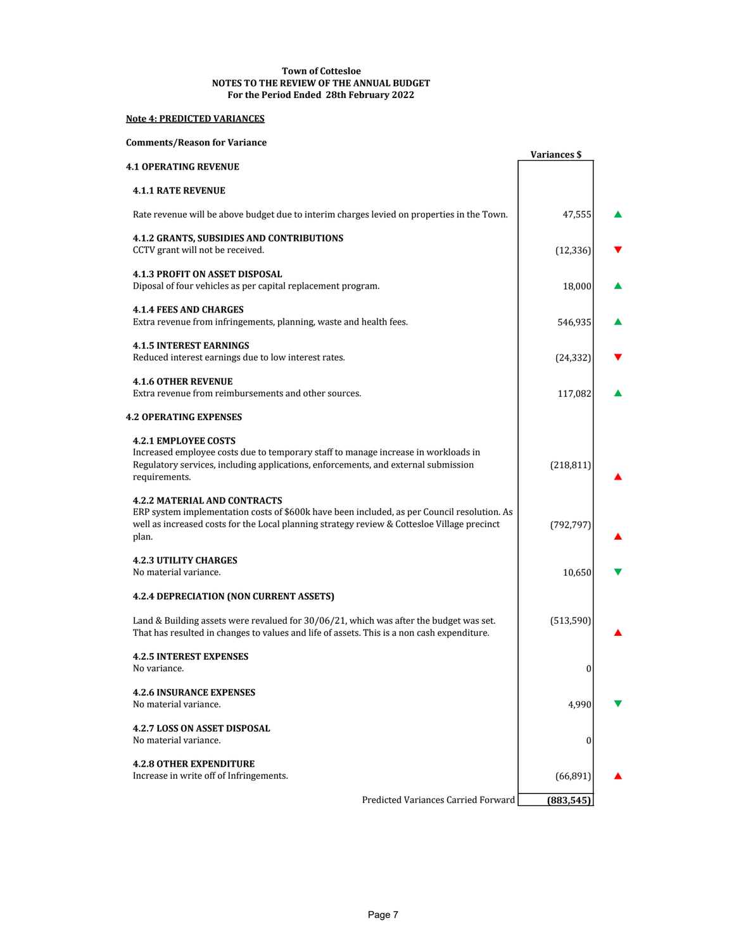#### **NOTES TO THE REVIEW OF THE ANNUAL BUDGET Town of Cottesloe For the Period Ended 28th February 2022**

# **Note 4: PREDICTED VARIANCES**

#### **Comments/Reason for Variance**

|                                                                                                                                                                                                                                            | Variances \$     |  |
|--------------------------------------------------------------------------------------------------------------------------------------------------------------------------------------------------------------------------------------------|------------------|--|
| <b>4.1 OPERATING REVENUE</b>                                                                                                                                                                                                               |                  |  |
| <b>4.1.1 RATE REVENUE</b>                                                                                                                                                                                                                  |                  |  |
| Rate revenue will be above budget due to interim charges levied on properties in the Town.                                                                                                                                                 | 47,555           |  |
| <b>4.1.2 GRANTS, SUBSIDIES AND CONTRIBUTIONS</b><br>CCTV grant will not be received.                                                                                                                                                       | (12, 336)        |  |
| <b>4.1.3 PROFIT ON ASSET DISPOSAL</b><br>Diposal of four vehicles as per capital replacement program.                                                                                                                                      | 18,000           |  |
| <b>4.1.4 FEES AND CHARGES</b><br>Extra revenue from infringements, planning, waste and health fees.                                                                                                                                        | 546,935          |  |
| <b>4.1.5 INTEREST EARNINGS</b><br>Reduced interest earnings due to low interest rates.                                                                                                                                                     | (24, 332)        |  |
| <b>4.1.6 OTHER REVENUE</b><br>Extra revenue from reimbursements and other sources.                                                                                                                                                         | 117,082          |  |
| <b>4.2 OPERATING EXPENSES</b>                                                                                                                                                                                                              |                  |  |
| <b>4.2.1 EMPLOYEE COSTS</b><br>Increased employee costs due to temporary staff to manage increase in workloads in<br>Regulatory services, including applications, enforcements, and external submission<br>requirements.                   | (218, 811)       |  |
| <b>4.2.2 MATERIAL AND CONTRACTS</b><br>ERP system implementation costs of \$600k have been included, as per Council resolution. As<br>well as increased costs for the Local planning strategy review & Cottesloe Village precinct<br>plan. | (792, 797)       |  |
| <b>4.2.3 UTILITY CHARGES</b><br>No material variance.                                                                                                                                                                                      | 10,650           |  |
| 4.2.4 DEPRECIATION (NON CURRENT ASSETS)                                                                                                                                                                                                    |                  |  |
| Land & Building assets were revalued for 30/06/21, which was after the budget was set.<br>That has resulted in changes to values and life of assets. This is a non cash expenditure.                                                       | (513, 590)       |  |
| <b>4.2.5 INTEREST EXPENSES</b><br>No variance.                                                                                                                                                                                             | $\boldsymbol{0}$ |  |
| <b>4.2.6 INSURANCE EXPENSES</b><br>No material variance.                                                                                                                                                                                   | 4,990            |  |
| <b>4.2.7 LOSS ON ASSET DISPOSAL</b><br>No material variance.                                                                                                                                                                               | 0                |  |
| <b>4.2.8 OTHER EXPENDITURE</b><br>Increase in write off of Infringements.                                                                                                                                                                  | (66, 891)        |  |
| Predicted Variances Carried Forward                                                                                                                                                                                                        | (883, 545)       |  |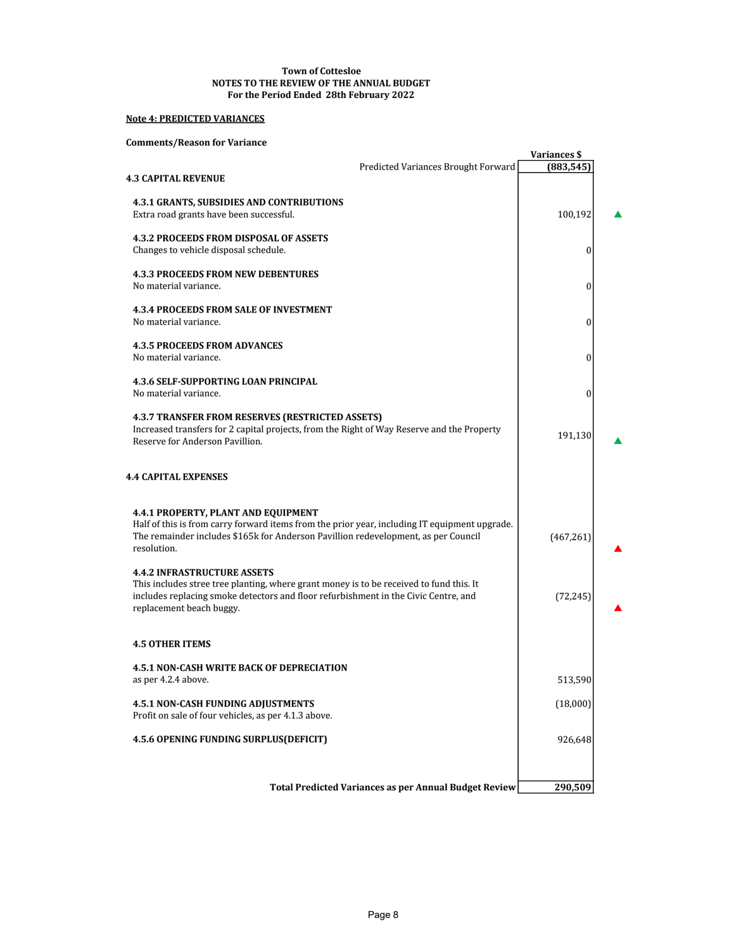#### **NOTES TO THE REVIEW OF THE ANNUAL BUDGET Town of Cottesloe For the Period Ended 28th February 2022**

# **Note 4: PREDICTED VARIANCES**

#### **Comments/Reason for Variance**

| Comments/Reason for variance                                                                                                                                                                                                                     |                                                              | <b>Variances \$</b> |  |
|--------------------------------------------------------------------------------------------------------------------------------------------------------------------------------------------------------------------------------------------------|--------------------------------------------------------------|---------------------|--|
| <b>4.3 CAPITAL REVENUE</b>                                                                                                                                                                                                                       | Predicted Variances Brought Forward                          | (883, 545)          |  |
| <b>4.3.1 GRANTS, SUBSIDIES AND CONTRIBUTIONS</b><br>Extra road grants have been successful.                                                                                                                                                      |                                                              | 100,192             |  |
| <b>4.3.2 PROCEEDS FROM DISPOSAL OF ASSETS</b><br>Changes to vehicle disposal schedule.                                                                                                                                                           |                                                              | $\boldsymbol{0}$    |  |
| <b>4.3.3 PROCEEDS FROM NEW DEBENTURES</b><br>No material variance.                                                                                                                                                                               |                                                              | $\bf{0}$            |  |
| <b>4.3.4 PROCEEDS FROM SALE OF INVESTMENT</b><br>No material variance.                                                                                                                                                                           |                                                              | 0                   |  |
| <b>4.3.5 PROCEEDS FROM ADVANCES</b><br>No material variance.                                                                                                                                                                                     |                                                              | $\boldsymbol{0}$    |  |
| <b>4.3.6 SELF-SUPPORTING LOAN PRINCIPAL</b><br>No material variance.                                                                                                                                                                             |                                                              | $\boldsymbol{0}$    |  |
| <b>4.3.7 TRANSFER FROM RESERVES (RESTRICTED ASSETS)</b><br>Increased transfers for 2 capital projects, from the Right of Way Reserve and the Property<br>Reserve for Anderson Pavillion.                                                         |                                                              | 191,130             |  |
| <b>4.4 CAPITAL EXPENSES</b>                                                                                                                                                                                                                      |                                                              |                     |  |
| 4.4.1 PROPERTY, PLANT AND EQUIPMENT<br>Half of this is from carry forward items from the prior year, including IT equipment upgrade.<br>The remainder includes \$165k for Anderson Pavillion redevelopment, as per Council<br>resolution.        |                                                              | (467, 261)          |  |
| <b>4.4.2 INFRASTRUCTURE ASSETS</b><br>This includes stree tree planting, where grant money is to be received to fund this. It<br>includes replacing smoke detectors and floor refurbishment in the Civic Centre, and<br>replacement beach buggy. |                                                              | (72, 245)           |  |
| <b>4.5 OTHER ITEMS</b>                                                                                                                                                                                                                           |                                                              |                     |  |
| <b>4.5.1 NON-CASH WRITE BACK OF DEPRECIATION</b><br>as per 4.2.4 above.                                                                                                                                                                          |                                                              | 513,590             |  |
| <b>4.5.1 NON-CASH FUNDING ADJUSTMENTS</b><br>Profit on sale of four vehicles, as per 4.1.3 above.                                                                                                                                                |                                                              | (18,000)            |  |
| 4.5.6 OPENING FUNDING SURPLUS(DEFICIT)                                                                                                                                                                                                           |                                                              | 926,648             |  |
|                                                                                                                                                                                                                                                  | <b>Total Predicted Variances as per Annual Budget Review</b> | 290,509             |  |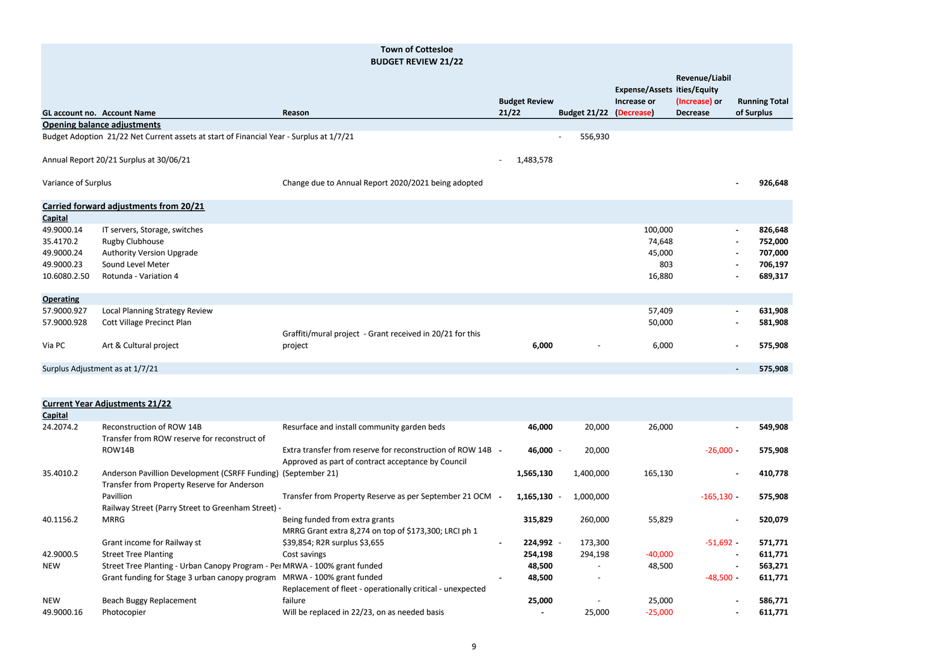|                     |                                                                                         | DUDULI ILIVILIV EI/EE                                     |                                       |                                     |                                    |                 |                          |                      |
|---------------------|-----------------------------------------------------------------------------------------|-----------------------------------------------------------|---------------------------------------|-------------------------------------|------------------------------------|-----------------|--------------------------|----------------------|
|                     |                                                                                         |                                                           |                                       |                                     | <b>Expense/Assets ities/Equity</b> | Revenue/Liabil  |                          |                      |
|                     |                                                                                         |                                                           | <b>Budget Review</b>                  |                                     | Increase or                        | (Increase) or   |                          | <b>Running Total</b> |
|                     | <b>GL account no. Account Name</b>                                                      | Reason                                                    | 21/22                                 | Budget 21/22 (Decrease)             |                                    | <b>Decrease</b> |                          | of Surplus           |
|                     | <b>Opening balance adjustments</b>                                                      |                                                           |                                       |                                     |                                    |                 |                          |                      |
|                     | Budget Adoption 21/22 Net Current assets at start of Financial Year - Surplus at 1/7/21 |                                                           |                                       | 556,930<br>$\overline{\phantom{a}}$ |                                    |                 |                          |                      |
|                     | Annual Report 20/21 Surplus at 30/06/21                                                 |                                                           | 1,483,578<br>$\overline{\phantom{a}}$ |                                     |                                    |                 |                          |                      |
| Variance of Surplus |                                                                                         | Change due to Annual Report 2020/2021 being adopted       |                                       |                                     |                                    |                 | $\overline{\phantom{a}}$ | 926,648              |
|                     | Carried forward adjustments from 20/21                                                  |                                                           |                                       |                                     |                                    |                 |                          |                      |
| <b>Capital</b>      |                                                                                         |                                                           |                                       |                                     |                                    |                 |                          |                      |
| 49.9000.14          | IT servers, Storage, switches                                                           |                                                           |                                       |                                     | 100,000                            |                 | $\blacksquare$           | 826,648              |
| 35.4170.2           | Rugby Clubhouse                                                                         |                                                           |                                       |                                     | 74,648                             |                 | $\blacksquare$           | 752,000              |
| 49.9000.24          | <b>Authority Version Upgrade</b>                                                        |                                                           |                                       |                                     | 45,000                             |                 | $\blacksquare$           | 707,000              |
| 49.9000.23          | Sound Level Meter                                                                       |                                                           |                                       |                                     | 803                                |                 | $\overline{\phantom{a}}$ | 706,197              |
| 10.6080.2.50        | Rotunda - Variation 4                                                                   |                                                           |                                       |                                     | 16,880                             |                 | $\blacksquare$           | 689,317              |
| <b>Operating</b>    |                                                                                         |                                                           |                                       |                                     |                                    |                 |                          |                      |
| 57.9000.927         | Local Planning Strategy Review                                                          |                                                           |                                       |                                     | 57,409                             |                 | $\overline{\phantom{a}}$ | 631,908              |
| 57.9000.928         | <b>Cott Village Precinct Plan</b>                                                       |                                                           |                                       |                                     | 50,000                             |                 | $\overline{\phantom{a}}$ | 581,908              |
|                     |                                                                                         | Graffiti/mural project - Grant received in 20/21 for this |                                       |                                     |                                    |                 |                          |                      |
| Via PC              | Art & Cultural project                                                                  | project                                                   | 6,000                                 | $\qquad \qquad \blacksquare$        | 6,000                              |                 | $\overline{\phantom{a}}$ | 575,908              |
|                     | Surplus Adjustment as at 1/7/21                                                         |                                                           |                                       |                                     |                                    |                 | $\overline{\phantom{a}}$ | 575,908              |
|                     |                                                                                         |                                                           |                                       |                                     |                                    |                 |                          |                      |

|                | <b>Current Year Adjustments 21/22</b>                                                                        |                                                                                                                   |                |                          |           |                          |         |
|----------------|--------------------------------------------------------------------------------------------------------------|-------------------------------------------------------------------------------------------------------------------|----------------|--------------------------|-----------|--------------------------|---------|
| <b>Capital</b> |                                                                                                              |                                                                                                                   |                |                          |           |                          |         |
| 24.2074.2      | Reconstruction of ROW 14B<br>Transfer from ROW reserve for reconstruct of                                    | Resurface and install community garden beds                                                                       | 46,000         | 20,000                   | 26,000    | $\blacksquare$           | 549,908 |
|                | ROW14B                                                                                                       | Extra transfer from reserve for reconstruction of ROW 14B -<br>Approved as part of contract acceptance by Council | 46,000 -       | 20,000                   |           | $-26,000 -$              | 575,908 |
| 35.4010.2      | Anderson Pavillion Development (CSRFF Funding) (September 21)<br>Transfer from Property Reserve for Anderson |                                                                                                                   | 1,565,130      | 1,400,000                | 165,130   |                          | 410,778 |
|                | Pavillion<br>Railway Street (Parry Street to Greenham Street) -                                              | Transfer from Property Reserve as per September 21 OCM -                                                          | $1,165,130 -$  | 1,000,000                |           | $-165,130 -$             | 575,908 |
| 40.1156.2      | <b>MRRG</b>                                                                                                  | Being funded from extra grants<br>MRRG Grant extra 8,274 on top of \$173,300; LRCI ph 1                           | 315,829        | 260,000                  | 55,829    |                          | 520,079 |
|                | Grant income for Railway st                                                                                  | \$39,854; R2R surplus \$3,655                                                                                     | 224,992 -      | 173,300                  |           | $-51,692 -$              | 571,771 |
| 42.9000.5      | <b>Street Tree Planting</b>                                                                                  | Cost savings                                                                                                      | 254,198        | 294,198                  | $-40,000$ | $\blacksquare$           | 611,771 |
| <b>NEW</b>     | Street Tree Planting - Urban Canopy Program - Per MRWA - 100% grant funded                                   |                                                                                                                   | 48,500         | $\overline{\phantom{a}}$ | 48,500    | $\overline{\phantom{0}}$ | 563,271 |
|                | Grant funding for Stage 3 urban canopy program                                                               | MRWA - 100% grant funded<br>Replacement of fleet - operationally critical - unexpected                            | 48,500         | $\overline{\phantom{a}}$ |           | $-48,500 -$              | 611,771 |
| <b>NEW</b>     | Beach Buggy Replacement                                                                                      | failure                                                                                                           | 25,000         |                          | 25,000    | $\blacksquare$           | 586,771 |
| 49.9000.16     | Photocopier                                                                                                  | Will be replaced in 22/23, on as needed basis                                                                     | $\blacksquare$ | 25,000                   | $-25,000$ | $\overline{\phantom{a}}$ | 611,771 |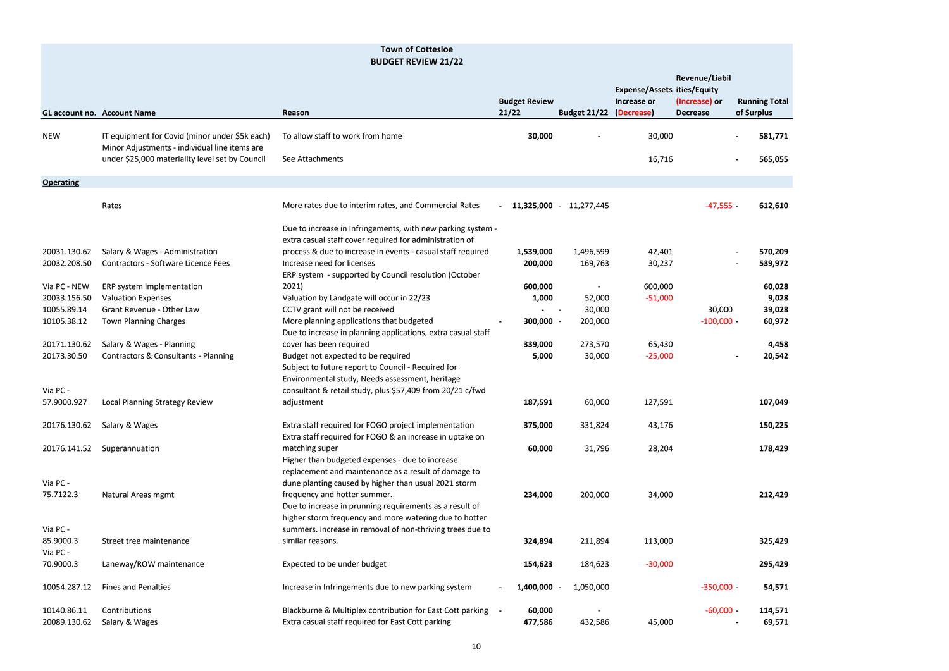|                                   |                                                                                                 | <b>BUDGET REVIEW 21/22</b>                                                                                                                                                                                |                               |                         |                                                                 |                                                           |                                    |
|-----------------------------------|-------------------------------------------------------------------------------------------------|-----------------------------------------------------------------------------------------------------------------------------------------------------------------------------------------------------------|-------------------------------|-------------------------|-----------------------------------------------------------------|-----------------------------------------------------------|------------------------------------|
|                                   | <b>GL account no. Account Name</b>                                                              | Reason                                                                                                                                                                                                    | <b>Budget Review</b><br>21/22 | <b>Budget 21/22</b>     | <b>Expense/Assets ities/Equity</b><br>Increase or<br>(Decrease) | <b>Revenue/Liabil</b><br>(Increase) or<br><b>Decrease</b> | <b>Running Total</b><br>of Surplus |
| <b>NEW</b>                        | IT equipment for Covid (minor under \$5k each)<br>Minor Adjustments - individual line items are | To allow staff to work from home                                                                                                                                                                          | 30,000                        |                         | 30,000                                                          |                                                           | 581,771                            |
|                                   | under \$25,000 materiality level set by Council                                                 | See Attachments                                                                                                                                                                                           |                               |                         | 16,716                                                          |                                                           | 565,055                            |
| <b>Operating</b>                  |                                                                                                 |                                                                                                                                                                                                           |                               |                         |                                                                 |                                                           |                                    |
|                                   | Rates                                                                                           | More rates due to interim rates, and Commercial Rates                                                                                                                                                     |                               | 11,325,000 - 11,277,445 |                                                                 | $-47,555 -$                                               | 612,610                            |
|                                   |                                                                                                 | Due to increase in Infringements, with new parking system -<br>extra casual staff cover required for administration of                                                                                    |                               |                         |                                                                 |                                                           |                                    |
| 20031.130.62                      | Salary & Wages - Administration                                                                 | process & due to increase in events - casual staff required                                                                                                                                               | 1,539,000                     | 1,496,599               | 42,401                                                          |                                                           | 570,209                            |
| 20032.208.50                      | Contractors - Software Licence Fees                                                             | Increase need for licenses<br>ERP system - supported by Council resolution (October                                                                                                                       | 200,000                       | 169,763                 | 30,237                                                          |                                                           | 539,972                            |
| Via PC - NEW                      | ERP system implementation                                                                       | 2021)                                                                                                                                                                                                     | 600,000                       |                         | 600,000                                                         |                                                           | 60,028                             |
| 20033.156.50                      | <b>Valuation Expenses</b>                                                                       | Valuation by Landgate will occur in 22/23                                                                                                                                                                 | 1,000                         | 52,000                  | $-51,000$                                                       |                                                           | 9,028                              |
| 10055.89.14                       | Grant Revenue - Other Law                                                                       | CCTV grant will not be received                                                                                                                                                                           |                               | 30,000                  |                                                                 | 30,000                                                    | 39,028                             |
| 10105.38.12                       | <b>Town Planning Charges</b>                                                                    | More planning applications that budgeted<br>Due to increase in planning applications, extra casual staff                                                                                                  | $300,000 -$                   | 200,000                 |                                                                 | $-100,000 -$                                              | 60,972                             |
| 20171.130.62                      | Salary & Wages - Planning                                                                       | cover has been required                                                                                                                                                                                   | 339,000                       | 273,570                 | 65,430                                                          |                                                           | 4,458                              |
| 20173.30.50<br>Via PC -           | Contractors & Consultants - Planning                                                            | Budget not expected to be required<br>Subject to future report to Council - Required for<br>Environmental study, Needs assessment, heritage<br>consultant & retail study, plus \$57,409 from 20/21 c/fwd  | 5,000                         | 30,000                  | $-25,000$                                                       |                                                           | 20,542                             |
| 57.9000.927                       | Local Planning Strategy Review                                                                  | adjustment                                                                                                                                                                                                | 187,591                       | 60,000                  | 127,591                                                         |                                                           | 107,049                            |
| 20176.130.62                      | Salary & Wages                                                                                  | Extra staff required for FOGO project implementation<br>Extra staff required for FOGO & an increase in uptake on                                                                                          | 375,000                       | 331,824                 | 43,176                                                          |                                                           | 150,225                            |
| 20176.141.52                      | Superannuation                                                                                  | matching super<br>Higher than budgeted expenses - due to increase<br>replacement and maintenance as a result of damage to                                                                                 | 60,000                        | 31,796                  | 28,204                                                          |                                                           | 178,429                            |
| Via PC -<br>75.7122.3             | Natural Areas mgmt                                                                              | dune planting caused by higher than usual 2021 storm<br>frequency and hotter summer.<br>Due to increase in prunning requirements as a result of<br>higher storm frequency and more watering due to hotter | 234,000                       | 200,000                 | 34,000                                                          |                                                           | 212,429                            |
| Via PC -<br>85.9000.3<br>Via PC - | Street tree maintenance                                                                         | summers. Increase in removal of non-thriving trees due to<br>similar reasons.                                                                                                                             | 324,894                       | 211,894                 | 113,000                                                         |                                                           | 325,429                            |
| 70.9000.3                         | Laneway/ROW maintenance                                                                         | Expected to be under budget                                                                                                                                                                               | 154,623                       | 184,623                 | $-30,000$                                                       |                                                           | 295,429                            |
| 10054.287.12                      | <b>Fines and Penalties</b>                                                                      | Increase in Infringements due to new parking system                                                                                                                                                       | 1,400,000                     | 1,050,000               |                                                                 | $-350,000 -$                                              | 54,571                             |
| 10140.86.11<br>20089.130.62       | Contributions<br>Salary & Wages                                                                 | Blackburne & Multiplex contribution for East Cott parking -<br>Extra casual staff required for East Cott parking                                                                                          | 60,000<br>477,586             | 432,586                 | 45,000                                                          | $-60,000 -$                                               | 114,571<br>69,571                  |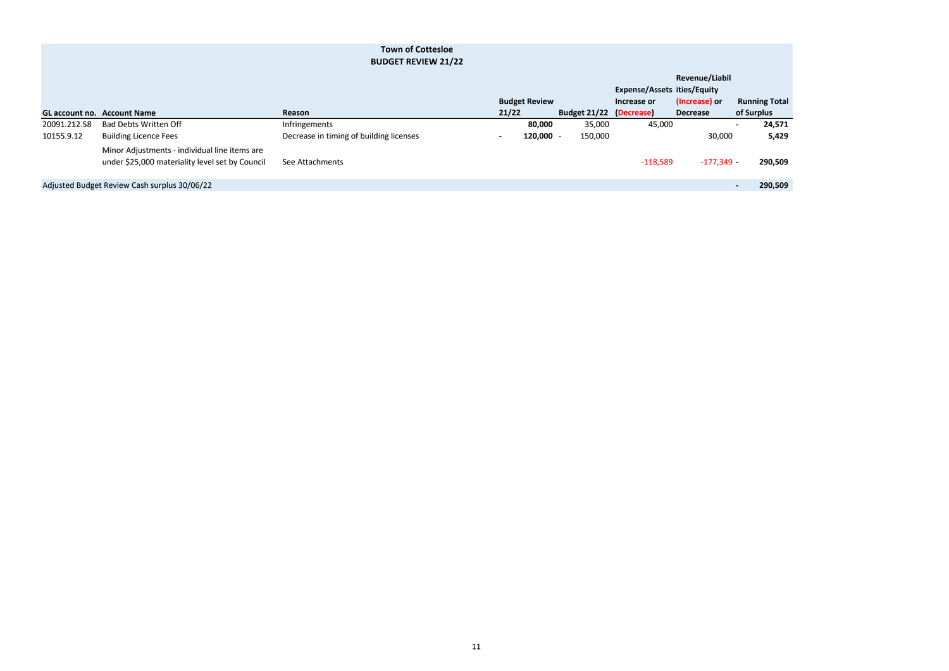|              |                                                                                                  | DUDULI REVIEW <i>EII</i> ZZ             |       |                      |                         |                                    |                 |                      |
|--------------|--------------------------------------------------------------------------------------------------|-----------------------------------------|-------|----------------------|-------------------------|------------------------------------|-----------------|----------------------|
|              |                                                                                                  |                                         |       |                      |                         |                                    | Revenue/Liabil  |                      |
|              |                                                                                                  |                                         |       |                      |                         | <b>Expense/Assets ities/Equity</b> |                 |                      |
|              |                                                                                                  |                                         |       | <b>Budget Review</b> |                         | Increase or                        | (Increase) or   | <b>Running Total</b> |
|              | <b>GL account no. Account Name</b>                                                               | Reason                                  | 21/22 |                      | Budget 21/22 (Decrease) |                                    | <b>Decrease</b> | of Surplus           |
| 20091.212.58 | <b>Bad Debts Written Off</b>                                                                     | Infringements                           |       | 80,000               | 35,000                  | 45,000                             |                 | 24,571               |
| 10155.9.12   | <b>Building Licence Fees</b>                                                                     | Decrease in timing of building licenses |       | $120,000 -$          | 150,000                 |                                    | 30,000          | 5,429                |
|              | Minor Adjustments - individual line items are<br>under \$25,000 materiality level set by Council | See Attachments                         |       |                      |                         | $-118,589$                         | $-177,349$ -    | 290,509              |
|              | Adjusted Budget Review Cash surplus 30/06/22                                                     |                                         |       |                      |                         |                                    |                 | 290,509              |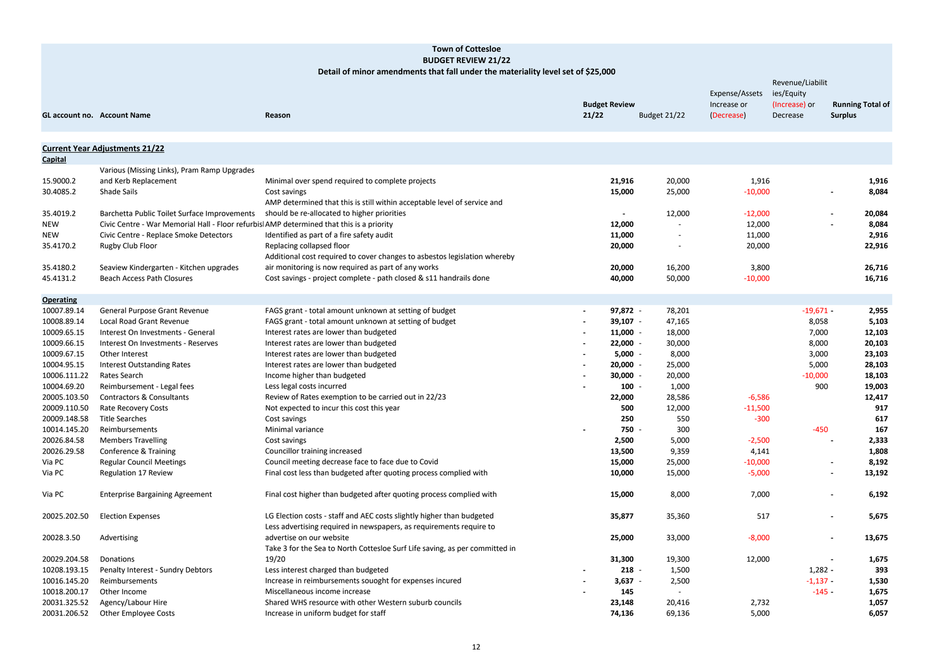| W | <b>Budget 21/22</b>                | Expense/Assets<br>Increase or<br>(Decrease) | Revenue/Liabilit<br>ies/Equity<br>(Increase) or<br>Decrease | <b>Running Total of</b><br><b>Surplus</b> |
|---|------------------------------------|---------------------------------------------|-------------------------------------------------------------|-------------------------------------------|
|   |                                    |                                             |                                                             |                                           |
| 6 | 20,000                             | 1,916                                       |                                                             | 1,916                                     |
| 0 | 25,000                             | $-10,000$                                   |                                                             | 8,084                                     |
|   | 12,000                             | $-12,000$                                   |                                                             | 20,084                                    |
| 0 |                                    | 12,000                                      |                                                             | 8,084                                     |
| 0 |                                    | 11,000                                      |                                                             | 2,916                                     |
| 0 |                                    | 20,000                                      |                                                             | 22,916                                    |
| 0 | 16,200                             | 3,800                                       |                                                             | 26,716                                    |
| 0 | 50,000                             | $-10,000$                                   |                                                             | 16,716                                    |
|   |                                    |                                             |                                                             |                                           |
| 2 | 78,201                             |                                             | $-19,671 -$                                                 | 2,955                                     |
| 7 | 47,165                             |                                             | 8,058                                                       | 5,103                                     |
| 0 | 18,000                             |                                             | 7,000                                                       | 12,103                                    |
| 0 | 30,000                             |                                             | 8,000                                                       | 20,103                                    |
| 0 | 8,000<br>$\overline{\phantom{a}}$  |                                             | 3,000                                                       | 23,103                                    |
| 0 | 25,000<br>$\sim$                   |                                             | 5,000                                                       | 28,103                                    |
| 0 | 20,000<br>$\overline{\phantom{a}}$ |                                             | $-10,000$                                                   | 18,103                                    |
| 0 | 1,000                              |                                             | 900                                                         | 19,003                                    |
| 0 | 28,586                             | $-6,586$                                    |                                                             | 12,417                                    |
| 0 | 12,000                             | $-11,500$                                   |                                                             | 917                                       |
| 0 | 550                                | $-300$                                      |                                                             | 617                                       |
| 0 | 300                                |                                             | $-450$                                                      | 167                                       |
| 0 | 5,000                              | $-2,500$                                    |                                                             | 2,333                                     |
| 0 | 9,359                              | 4,141                                       |                                                             | 1,808                                     |
| 0 | 25,000                             | $-10,000$                                   |                                                             | 8,192                                     |
| 0 | 15,000                             | $-5,000$                                    |                                                             | 13,192                                    |
| 0 | 8,000                              | 7,000                                       |                                                             | 6,192                                     |
| 7 | 35,360                             | 517                                         |                                                             | 5,675                                     |
| 0 | 33,000                             | $-8,000$                                    |                                                             | 13,675                                    |
| 0 | 19,300                             | 12,000                                      |                                                             | 1,675                                     |
| 8 | 1,500                              |                                             | $1,282 -$                                                   | 393                                       |
| 7 | 2,500                              |                                             | $-1,137$                                                    | 1,530                                     |
| 5 |                                    |                                             | $-145 -$                                                    | 1,675                                     |
| 8 | 20,416                             | 2,732                                       |                                                             | 1,057                                     |
| 6 | 69,136                             | 5,000                                       |                                                             | 6,057                                     |
|   |                                    |                                             |                                                             |                                           |

|                  | <b>GL account no. Account Name</b>                                                       | Reason                                                                      | <b>Budget Review</b><br>21/22 | <b>Budget 21/22</b> | Increase or<br>(Decrease) | $1 - 9 - 9 - 1$<br>(Increase) or<br>Decrease | <b>Running Total o</b><br><b>Surplus</b> |        |
|------------------|------------------------------------------------------------------------------------------|-----------------------------------------------------------------------------|-------------------------------|---------------------|---------------------------|----------------------------------------------|------------------------------------------|--------|
|                  | <b>Current Year Adjustments 21/22</b>                                                    |                                                                             |                               |                     |                           |                                              |                                          |        |
| <b>Capital</b>   |                                                                                          |                                                                             |                               |                     |                           |                                              |                                          |        |
|                  | Various (Missing Links), Pram Ramp Upgrades                                              |                                                                             |                               |                     |                           |                                              |                                          |        |
| 15.9000.2        | and Kerb Replacement                                                                     | Minimal over spend required to complete projects                            | 21,916                        | 20,000              | 1,916                     |                                              |                                          | 1,916  |
| 30.4085.2        | Shade Sails                                                                              | Cost savings                                                                | 15,000                        | 25,000              | $-10,000$                 |                                              |                                          | 8,084  |
|                  |                                                                                          | AMP determined that this is still within acceptable level of service and    |                               |                     |                           |                                              |                                          |        |
| 35.4019.2        | Barchetta Public Toilet Surface Improvements                                             | should be re-allocated to higher priorities                                 |                               | 12,000              | $-12,000$                 |                                              | $\blacksquare$                           | 20,084 |
| NEW              | Civic Centre - War Memorial Hall - Floor refurbis AMP determined that this is a priority |                                                                             | 12,000                        | $\blacksquare$      | 12,000                    |                                              |                                          | 8,084  |
| NEW              | Civic Centre - Replace Smoke Detectors                                                   | Identified as part of a fire safety audit                                   | 11,000                        | $\blacksquare$      | 11,000                    |                                              |                                          | 2,916  |
| 35.4170.2        | Rugby Club Floor                                                                         | Replacing collapsed floor                                                   | 20,000                        |                     | 20,000                    |                                              |                                          | 22,916 |
|                  |                                                                                          | Additional cost required to cover changes to asbestos legislation whereby   |                               |                     |                           |                                              |                                          |        |
| 35.4180.2        | Seaview Kindergarten - Kitchen upgrades                                                  | air monitoring is now required as part of any works                         | 20,000                        | 16,200              | 3,800                     |                                              |                                          | 26,716 |
| 45.4131.2        | <b>Beach Access Path Closures</b>                                                        | Cost savings - project complete - path closed & s11 handrails done          | 40,000                        | 50,000              | $-10,000$                 |                                              |                                          | 16,716 |
| <b>Operating</b> |                                                                                          |                                                                             |                               |                     |                           |                                              |                                          |        |
| 10007.89.14      | General Purpose Grant Revenue                                                            | FAGS grant - total amount unknown at setting of budget                      | 97,872 -                      | 78,201              |                           | $-19,671 -$                                  |                                          | 2,955  |
| 10008.89.14      | Local Road Grant Revenue                                                                 | FAGS grant - total amount unknown at setting of budget                      | $39,107 -$                    | 47,165              |                           | 8,058                                        |                                          | 5,103  |
| 10009.65.15      | Interest On Investments - General                                                        | Interest rates are lower than budgeted                                      | $11,000 -$                    | 18,000              |                           | 7,000                                        |                                          | 12,103 |
| 10009.66.15      | Interest On Investments - Reserves                                                       | Interest rates are lower than budgeted                                      | $22,000 -$                    | 30,000              |                           | 8,000                                        |                                          | 20,103 |
| 10009.67.15      | Other Interest                                                                           | Interest rates are lower than budgeted                                      | $5,000 -$                     | 8,000               |                           | 3,000                                        |                                          | 23,103 |
| 10004.95.15      | <b>Interest Outstanding Rates</b>                                                        | Interest rates are lower than budgeted                                      | $20,000 -$                    | 25,000              |                           | 5,000                                        |                                          | 28,103 |
| 10006.111.22     | Rates Search                                                                             | Income higher than budgeted                                                 | $30,000 -$                    | 20,000              |                           | $-10,000$                                    |                                          | 18,103 |
| 10004.69.20      | Reimbursement - Legal fees                                                               | Less legal costs incurred                                                   | $100 -$                       | 1,000               |                           | 900                                          |                                          | 19,003 |
| 20005.103.50     | <b>Contractors &amp; Consultants</b>                                                     | Review of Rates exemption to be carried out in 22/23                        | 22,000                        | 28,586              | $-6,586$                  |                                              |                                          | 12,417 |
| 20009.110.50     | Rate Recovery Costs                                                                      | Not expected to incur this cost this year                                   | 500                           | 12,000              | $-11,500$                 |                                              |                                          | 917    |
| 20009.148.58     | <b>Title Searches</b>                                                                    | Cost savings                                                                | 250                           | 550                 | $-300$                    |                                              |                                          | 617    |
| 10014.145.20     | Reimbursements                                                                           | Minimal variance                                                            | 750 -                         | 300                 |                           | $-450$                                       |                                          | 167    |
| 20026.84.58      | <b>Members Travelling</b>                                                                | Cost savings                                                                | 2,500                         | 5,000               | $-2,500$                  |                                              |                                          | 2,333  |
| 20026.29.58      | Conference & Training                                                                    | Councillor training increased                                               | 13,500                        | 9,359               | 4,141                     |                                              |                                          | 1,808  |
| Via PC           | <b>Regular Council Meetings</b>                                                          | Council meeting decrease face to face due to Covid                          | 15,000                        | 25,000              | $-10,000$                 |                                              |                                          | 8,192  |
| Via PC           | Regulation 17 Review                                                                     | Final cost less than budgeted after quoting process complied with           | 10,000                        | 15,000              | $-5,000$                  |                                              | $\blacksquare$                           | 13,192 |
| Via PC           | <b>Enterprise Bargaining Agreement</b>                                                   | Final cost higher than budgeted after quoting process complied with         | 15,000                        | 8,000               | 7,000                     |                                              | $\blacksquare$                           | 6,192  |
| 20025.202.50     | <b>Election Expenses</b>                                                                 | LG Election costs - staff and AEC costs slightly higher than budgeted       | 35,877                        | 35,360              | 517                       |                                              | ۰.                                       | 5,675  |
|                  |                                                                                          | Less advertising required in newspapers, as requirements require to         |                               |                     |                           |                                              |                                          |        |
| 20028.3.50       | Advertising                                                                              | advertise on our website                                                    | 25,000                        | 33,000              | $-8,000$                  |                                              |                                          | 13,675 |
|                  |                                                                                          | Take 3 for the Sea to North Cottesloe Surf Life saving, as per committed in |                               |                     |                           |                                              |                                          |        |
| 20029.204.58     | Donations                                                                                | 19/20                                                                       | 31,300                        | 19,300              | 12,000                    |                                              |                                          | 1,675  |
| 10208.193.15     | Penalty Interest - Sundry Debtors                                                        | Less interest charged than budgeted                                         | $218 -$                       | 1,500               |                           | $1,282 -$                                    |                                          | 393    |
| 10016.145.20     | Reimbursements                                                                           | Increase in reimbursements souoght for expenses incured                     | $3,637 -$                     | 2,500               |                           | $-1,137 -$                                   |                                          | 1,530  |
| 10018.200.17     | Other Income                                                                             | Miscellaneous income increase                                               | 145                           | $\blacksquare$      |                           | $-145-$                                      |                                          | 1,675  |
| 20031.325.52     | Agency/Labour Hire                                                                       | Shared WHS resource with other Western suburb councils                      | 23,148                        | 20,416              | 2,732                     |                                              |                                          | 1,057  |
| 20031.206.52     | <b>Other Employee Costs</b>                                                              | Increase in uniform budget for staff                                        | 74,136                        | 69,136              | 5,000                     |                                              |                                          | 6,057  |

#### **Detail of minor amendments that fall under the materiality level set of \$25,000**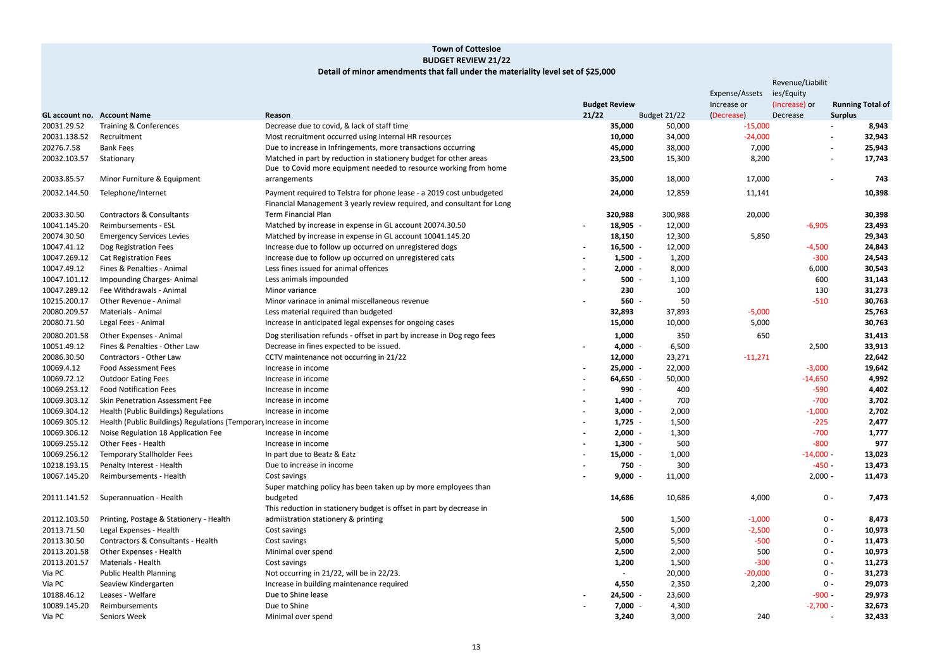|                | Revenue/Liabilit |                         |
|----------------|------------------|-------------------------|
| Expense/Assets | ies/Equity       |                         |
| Increase or    | (Increase) or    | <b>Running Total of</b> |
| (Decrease)     | Decrease         | <b>Surplus</b>          |
| $-15,000$      |                  | 8,943                   |
| $-24,000$      |                  | 32,943                  |
| 7,000          |                  | 25,943                  |
| 8,200          |                  | 17,743                  |
|                |                  |                         |
| 17,000         |                  | 743                     |
| 11,141         |                  | 10,398                  |
|                |                  |                         |
| 20,000         |                  | 30,398                  |
|                | $-6,905$         | 23,493                  |
| 5,850          |                  | 29,343                  |
|                | $-4,500$         | 24,843                  |
|                | $-300$           | 24,543                  |
|                | 6,000            | 30,543                  |
|                | 600              | 31,143                  |
|                | 130              | 31,273                  |
|                | $-510$           | 30,763                  |
|                |                  |                         |
| $-5,000$       |                  | 25,763                  |
| 5,000          |                  | 30,763                  |
| 650            |                  | 31,413                  |
|                | 2,500            | 33,913                  |
| $-11,271$      |                  | 22,642                  |
|                | $-3,000$         | 19,642                  |
|                | $-14,650$        | 4,992                   |
|                | $-590$           | 4,402                   |
|                | $-700$           | 3,702                   |
|                | $-1,000$         | 2,702                   |
|                | $-225$           | 2,477                   |
|                | $-700$           | 1,777                   |
|                | -800             | 977                     |
|                | $-14,000 -$      | 13,023                  |
|                | $-450 -$         | 13,473                  |
|                | $2,000 -$        | 11,473                  |
|                |                  |                         |
| 4,000          | 0 -              | 7,473                   |
|                |                  |                         |
| $-1,000$       | $0 -$            | 8,473                   |
| $-2,500$       | $0 -$            | 10,973                  |
| $-500$         | $0 -$            | 11,473                  |
| 500            | $0 -$            | 10,973                  |
| $-300$         | $0 -$            | 11,273                  |
| $-20,000$      | $0 -$            | 31,273                  |
| 2,200          | $0 -$            | 29,073                  |
|                | $-900 -$         | 29,973                  |
|                | $-2,700 -$       | 32,673                  |
| 240            |                  | 32,433                  |
|                |                  |                         |

### **Detail of minor amendments that fall under the materiality level set of \$25,000**

|              |                                                                     |                                                                                                                                                | <b>Budget Review</b> |              | Increase or | (Increase) or | <b>Running Total o</b>   |
|--------------|---------------------------------------------------------------------|------------------------------------------------------------------------------------------------------------------------------------------------|----------------------|--------------|-------------|---------------|--------------------------|
|              | GL account no. Account Name                                         | Reason                                                                                                                                         | 21/22                | Budget 21/22 | (Decrease)  | Decrease      | <b>Surplus</b>           |
| 20031.29.52  | <b>Training &amp; Conferences</b>                                   | Decrease due to covid, & lack of staff time                                                                                                    | 35,000               | 50,000       | $-15,000$   |               | 8,943                    |
| 20031.138.52 | Recruitment                                                         | Most recruitment occurred using internal HR resources                                                                                          | 10,000               | 34,000       | $-24,000$   |               | 32,943<br>$\blacksquare$ |
| 20276.7.58   | <b>Bank Fees</b>                                                    | Due to increase in Infringements, more transactions occurring                                                                                  | 45,000               | 38,000       | 7,000       |               | 25,943<br>$\blacksquare$ |
| 20032.103.57 | Stationary                                                          | Matched in part by reduction in stationery budget for other areas<br>Due to Covid more equipment needed to resource working from home          | 23,500               | 15,300       | 8,200       |               | 17,743                   |
| 20033.85.57  | Minor Furniture & Equipment                                         | arrangements                                                                                                                                   | 35,000               | 18,000       | 17,000      |               | 743                      |
| 20032.144.50 | Telephone/Internet                                                  | Payment required to Telstra for phone lease - a 2019 cost unbudgeted<br>Financial Management 3 yearly review required, and consultant for Long | 24,000               | 12,859       | 11,141      |               | 10,398                   |
| 20033.30.50  | <b>Contractors &amp; Consultants</b>                                | <b>Term Financial Plan</b>                                                                                                                     | 320,988              | 300,988      | 20,000      |               | 30,398                   |
| 10041.145.20 | Reimbursements - ESL                                                | Matched by increase in expense in GL account 20074.30.50                                                                                       | 18,905 -             | 12,000       |             | $-6,905$      | 23,493                   |
| 20074.30.50  | <b>Emergency Services Levies</b>                                    | Matched by increase in expense in GL account 10041.145.20                                                                                      | 18,150               | 12,300       | 5,850       |               | 29,343                   |
| 10047.41.12  | Dog Registration Fees                                               | Increase due to follow up occurred on unregistered dogs                                                                                        | $16,500 -$           | 12,000       |             | $-4,500$      | 24,843                   |
| 10047.269.12 | <b>Cat Registration Fees</b>                                        | Increase due to follow up occurred on unregistered cats                                                                                        | $1,500 -$            | 1,200        |             | $-300$        | 24,543                   |
| 10047.49.12  | Fines & Penalties - Animal                                          | Less fines issued for animal offences                                                                                                          | $2,000 -$            | 8,000        |             | 6,000         | 30,543                   |
| 10047.101.12 | Impounding Charges-Animal                                           | Less animals impounded                                                                                                                         | $500 -$              | 1,100        |             | 600           | 31,143                   |
| 10047.289.12 | Fee Withdrawals - Animal                                            | Minor variance                                                                                                                                 | 230                  | 100          |             | 130           | 31,273                   |
| 10215.200.17 | Other Revenue - Animal                                              | Minor varinace in animal miscellaneous revenue                                                                                                 | 560 -                | 50           |             | $-510$        | 30,763                   |
| 20080.209.57 | <b>Materials - Animal</b>                                           | Less material required than budgeted                                                                                                           | 32,893               | 37,893       | $-5,000$    |               | 25,763                   |
| 20080.71.50  | Legal Fees - Animal                                                 | Increase in anticipated legal expenses for ongoing cases                                                                                       | 15,000               | 10,000       | 5,000       |               | 30,763                   |
| 20080.201.58 | Other Expenses - Animal                                             | Dog sterilisation refunds - offset in part by increase in Dog rego fees                                                                        | 1,000                | 350          | 650         |               | 31,413                   |
| 10051.49.12  | Fines & Penalties - Other Law                                       | Decrease in fines expected to be issued.                                                                                                       | $4,000 -$            | 6,500        |             | 2,500         | 33,913                   |
| 20086.30.50  | Contractors - Other Law                                             | CCTV maintenance not occurring in 21/22                                                                                                        | 12,000               | 23,271       | $-11,271$   |               | 22,642                   |
| 10069.4.12   | Food Assessment Fees                                                | Increase in income                                                                                                                             | $25,000 -$           | 22,000       |             | $-3,000$      | 19,642                   |
| 10069.72.12  | <b>Outdoor Eating Fees</b>                                          | Increase in income                                                                                                                             | 64,650 -             | 50,000       |             | $-14,650$     | 4,992                    |
| 10069.253.12 | <b>Food Notification Fees</b>                                       | Increase in income                                                                                                                             | 990 -                | 400          |             | $-590$        | 4,402                    |
| 10069.303.12 | Skin Penetration Assessment Fee                                     | Increase in income                                                                                                                             | $1,400 -$            | 700          |             | $-700$        | 3,702                    |
| 10069.304.12 | Health (Public Buildings) Regulations                               | Increase in income                                                                                                                             | $3,000 -$            | 2,000        |             | $-1,000$      | 2,702                    |
| 10069.305.12 | Health (Public Buildings) Regulations (Temporary Increase in income |                                                                                                                                                | $1,725 -$            | 1,500        |             | $-225$        | 2,477                    |
| 10069.306.12 | Noise Regulation 18 Application Fee                                 | Increase in income                                                                                                                             | $2,000 -$            | 1,300        |             | $-700$        | 1,777                    |
| 10069.255.12 | Other Fees - Health                                                 | Increase in income                                                                                                                             | $1,300 -$            | 500          |             | $-800$        | 977                      |
|              | 10069.256.12 Temporary Stallholder Fees                             | In part due to Beatz & Eatz                                                                                                                    | 15,000               | 1,000        |             | $-14,000 -$   | 13,023                   |
| 10218.193.15 | Penalty Interest - Health                                           | Due to increase in income                                                                                                                      | 750 -                | 300          |             | $-450 -$      | 13,473                   |
| 10067.145.20 | Reimbursements - Health                                             | Cost savings                                                                                                                                   | $9,000 -$            | 11,000       |             | $2,000 -$     | 11,473                   |
|              |                                                                     | Super matching policy has been taken up by more employees than                                                                                 |                      |              |             |               |                          |
| 20111.141.52 | Superannuation - Health                                             | budgeted                                                                                                                                       | 14,686               | 10,686       | 4,000       |               | $0 -$<br>7,473           |
|              |                                                                     | This reduction in stationery budget is offset in part by decrease in                                                                           |                      |              |             |               |                          |
| 20112.103.50 | Printing, Postage & Stationery - Health                             | admiistration stationery & printing                                                                                                            | 500                  | 1,500        | $-1,000$    |               | $0 -$<br>8,473           |
| 20113.71.50  | Legal Expenses - Health                                             | Cost savings                                                                                                                                   | 2,500                | 5,000        | $-2,500$    |               | 10,973<br>$0 -$          |
| 20113.30.50  | Contractors & Consultants - Health                                  | Cost savings                                                                                                                                   | 5,000                | 5,500        | $-500$      |               | $0 -$<br>11,473          |
| 20113.201.58 | Other Expenses - Health                                             | Minimal over spend                                                                                                                             | 2,500                | 2,000        | 500         |               | 10,973<br>0 -            |
| 20113.201.57 | Materials - Health                                                  | Cost savings                                                                                                                                   | 1,200                | 1,500        | $-300$      |               | 11,273<br>$0 -$          |
| Via PC       | <b>Public Health Planning</b>                                       | Not occurring in 21/22, will be in 22/23.                                                                                                      |                      | 20,000       | $-20,000$   |               | 31,273<br>0 -            |
| Via PC       | Seaview Kindergarten                                                | Increase in building maintenance required                                                                                                      | 4,550                | 2,350        | 2,200       |               | $0 -$<br>29,073          |
| 10188.46.12  | Leases - Welfare                                                    | Due to Shine lease                                                                                                                             | $24,500 -$           | 23,600       |             | $-900 -$      | 29,973                   |
| 10089.145.20 | Reimbursements                                                      | Due to Shine                                                                                                                                   | $7,000 -$            | 4,300        |             | $-2,700 -$    | 32,673                   |
| Via PC       | Seniors Week                                                        | Minimal over spend                                                                                                                             | 3,240                | 3,000        | 240         |               | 32,433                   |
|              |                                                                     |                                                                                                                                                |                      |              |             |               |                          |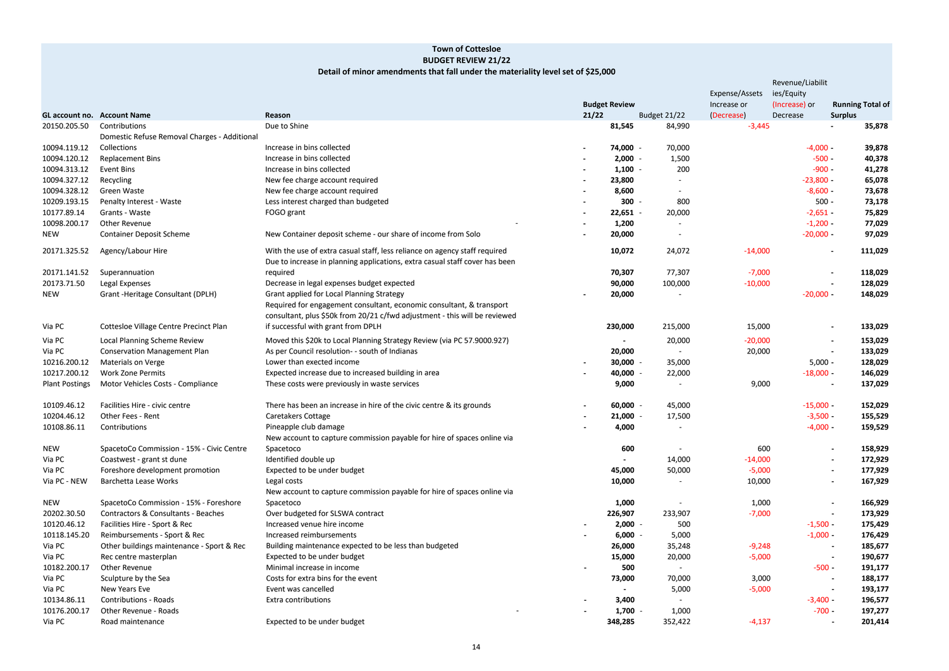# **Town of Cottesloe BUDGET REVIEW 21/22 Detail of minor amendments that fall under the materiality level set of \$25,000**

|   |              |                           | Revenue/Liabilit            |                                           |
|---|--------------|---------------------------|-----------------------------|-------------------------------------------|
|   |              | Expense/Assets            | ies/Equity<br>(Increase) or |                                           |
| N | Budget 21/22 | Increase or<br>(Decrease) | Decrease                    | <b>Running Total of</b><br><b>Surplus</b> |
| 5 | 84,990       | $-3,445$                  |                             | 35,878                                    |
| D | 70,000       |                           | $-4,000 -$                  | 39,878                                    |
| D | 1,500        |                           | $-500 -$                    | 40,378                                    |
| 0 | 200          |                           | $-900 -$                    | 41,278                                    |
| D |              |                           | $-23,800 -$                 | 65,078                                    |
| D |              |                           | $-8,600 -$                  | 73,678                                    |
| D | 800          |                           | $500 -$                     | 73,178                                    |
| 1 | 20,000       |                           | $-2,651 -$                  | 75,829                                    |
| 0 |              |                           | $-1,200 -$                  | 77,029                                    |
| D |              |                           | $-20,000 -$                 | 97,029                                    |
| 2 | 24,072       | $-14,000$                 |                             | 111,029                                   |
| 7 | 77,307       | $-7,000$                  |                             | 118,029                                   |
| D | 100,000      | $-10,000$                 |                             | 128,029                                   |
| D |              |                           | $-20,000 -$                 | 148,029                                   |
|   |              |                           |                             |                                           |
| D | 215,000      | 15,000                    |                             | 133,029                                   |
|   | 20,000       | $-20,000$                 |                             | 153,029                                   |
| D |              | 20,000                    |                             | 133,029                                   |
| 0 | 35,000       |                           | $5,000 -$                   | 128,029                                   |
| 0 | 22,000       |                           | $-18,000 -$                 | 146,029                                   |
| 0 |              | 9,000                     |                             | 137,029                                   |
| 0 | 45,000       |                           | $-15,000 -$                 | 152,029                                   |
| 0 | 17,500       |                           | $-3,500 -$                  | 155,529                                   |
| 0 |              |                           | $-4,000 -$                  | 159,529                                   |
|   |              |                           |                             |                                           |
| 0 |              | 600                       |                             | 158,929                                   |
|   | 14,000       | $-14,000$                 |                             | 172,929                                   |
| 0 | 50,000       | $-5,000$                  |                             | 177,929                                   |
| 0 |              | 10,000                    |                             | 167,929                                   |
| 0 |              | 1,000                     |                             | 166,929                                   |
| 7 | 233,907      | $-7,000$                  |                             | 173,929                                   |
| 0 | 500          |                           | $-1,500 -$                  | 175,429                                   |
| 0 | 5,000        |                           | $-1,000 -$                  | 176,429                                   |
| 0 | 35,248       | $-9,248$                  |                             | 185,677                                   |
| 0 | 20,000       | $-5,000$                  |                             | 190,677                                   |
| 0 |              |                           | $-500 -$                    | 191,177                                   |
| 0 | 70,000       | 3,000                     |                             | 188,177                                   |
|   | 5,000        | $-5,000$                  |                             | 193,177                                   |
| 0 |              |                           | $-3,400 -$                  | 196,577                                   |
| 0 | 1,000        |                           | $-700 -$                    | 197,277                                   |
| 5 | 352,422      | $-4,137$                  |                             | 201,414                                   |

|                       |                                              |                                                                             |        |                      |                          | Experise/Assets | Tes/Equity    |                          |                         |
|-----------------------|----------------------------------------------|-----------------------------------------------------------------------------|--------|----------------------|--------------------------|-----------------|---------------|--------------------------|-------------------------|
|                       |                                              |                                                                             |        | <b>Budget Review</b> |                          | Increase or     | (Increase) or |                          | <b>Running Total of</b> |
|                       | <b>GL account no. Account Name</b>           | Reason                                                                      | 21/22  |                      | Budget 21/22             | (Decrease)      | Decrease      | <b>Surplus</b>           |                         |
| 20150.205.50          | Contributions                                | Due to Shine                                                                |        | 81,545               | 84,990                   | $-3,445$        |               |                          | 35,878                  |
|                       | Domestic Refuse Removal Charges - Additional |                                                                             |        |                      |                          |                 |               |                          |                         |
| 10094.119.12          | Collections                                  | Increase in bins collected                                                  |        | 74,000 -             | 70,000                   |                 | $-4,000 -$    |                          | 39,878                  |
| 10094.120.12          | <b>Replacement Bins</b>                      | Increase in bins collected                                                  |        | $2,000 -$            | 1,500                    |                 | $-500 -$      |                          | 40,378                  |
| 10094.313.12          | Event Bins                                   | Increase in bins collected                                                  |        | $1,100 -$            | 200                      |                 | $-900 -$      |                          | 41,278                  |
| 10094.327.12          | Recycling                                    | New fee charge account required                                             |        | 23,800               |                          |                 | $-23,800 -$   |                          | 65,078                  |
| 10094.328.12          | Green Waste                                  | New fee charge account required                                             |        | 8,600                | $\blacksquare$           |                 | $-8,600 -$    |                          | 73,678                  |
| 10209.193.15          | Penalty Interest - Waste                     | Less interest charged than budgeted                                         |        | $300 -$              | 800                      |                 | $500 -$       |                          | 73,178                  |
| 10177.89.14           | Grants - Waste                               | FOGO grant                                                                  | $\sim$ | $22,651 -$           | 20,000                   |                 | $-2,651 -$    |                          | 75,829                  |
| 10098.200.17          | Other Revenue                                |                                                                             |        | 1,200                |                          |                 | $-1,200 -$    |                          | 77,029                  |
| NEW                   | <b>Container Deposit Scheme</b>              | New Container deposit scheme - our share of income from Solo                |        | 20,000               | $\blacksquare$           |                 | $-20,000 -$   |                          | 97,029                  |
| 20171.325.52          | Agency/Labour Hire                           | With the use of extra casual staff, less reliance on agency staff required  |        | 10,072               | 24,072                   | $-14,000$       |               |                          | 111,029                 |
|                       |                                              | Due to increase in planning applications, extra casual staff cover has been |        |                      |                          |                 |               |                          |                         |
| 20171.141.52          | Superannuation                               | required                                                                    |        | 70,307               | 77,307                   | $-7,000$        |               |                          | 118,029                 |
| 20173.71.50           | Legal Expenses                               | Decrease in legal expenses budget expected                                  |        | 90,000               | 100,000                  | $-10,000$       |               |                          | 128,029                 |
| <b>NEW</b>            | Grant - Heritage Consultant (DPLH)           | Grant applied for Local Planning Strategy                                   |        | 20,000               |                          |                 | $-20,000 -$   |                          | 148,029                 |
|                       |                                              | Required for engagement consultant, economic consultant, & transport        |        |                      |                          |                 |               |                          |                         |
|                       |                                              | consultant, plus \$50k from 20/21 c/fwd adjustment - this will be reviewed  |        |                      |                          |                 |               |                          |                         |
| Via PC                | Cottesloe Village Centre Precinct Plan       | if successful with grant from DPLH                                          |        | 230,000              | 215,000                  | 15,000          |               |                          | 133,029                 |
| Via PC                | Local Planning Scheme Review                 | Moved this \$20k to Local Planning Strategy Review (via PC 57.9000.927)     |        |                      | 20,000                   | $-20,000$       |               |                          | 153,029                 |
| Via PC                | <b>Conservation Management Plan</b>          | As per Council resolution- - south of Indianas                              |        | 20,000               | $\blacksquare$           | 20,000          |               |                          | 133,029                 |
| 10216.200.12          | Materials on Verge                           | Lower than exected income                                                   |        | $30,000 -$           | 35,000                   |                 | $5,000 -$     |                          | 128,029                 |
| 10217.200.12          | <b>Work Zone Permits</b>                     | Expected increase due to increased building in area                         |        | 40,000 -             | 22,000                   |                 | $-18,000 -$   |                          | 146,029                 |
| <b>Plant Postings</b> | Motor Vehicles Costs - Compliance            | These costs were previously in waste services                               |        | 9,000                | $\blacksquare$           | 9,000           |               |                          | 137,029                 |
|                       |                                              |                                                                             |        |                      |                          |                 |               |                          |                         |
| 10109.46.12           | Facilities Hire - civic centre               | There has been an increase in hire of the civic centre & its grounds        |        | $60,000 -$           | 45,000                   |                 | $-15,000 -$   |                          | 152,029                 |
| 10204.46.12           | Other Fees - Rent                            | Caretakers Cottage                                                          |        | $21,000 -$           | 17,500                   |                 | $-3,500 -$    |                          | 155,529                 |
| 10108.86.11           | Contributions                                | Pineapple club damage                                                       |        | 4,000                | $\overline{\phantom{a}}$ |                 | $-4,000 -$    |                          | 159,529                 |
|                       |                                              | New account to capture commission payable for hire of spaces online via     |        |                      |                          |                 |               |                          |                         |
| <b>NEW</b>            | SpacetoCo Commission - 15% - Civic Centre    | Spacetoco                                                                   |        | 600                  |                          | 600             |               |                          | 158,929                 |
| Via PC                | Coastwest - grant st dune                    | Identified double up                                                        |        | $\sim$               | 14,000                   | $-14,000$       |               |                          | 172,929                 |
| Via PC                | Foreshore development promotion              | Expected to be under budget                                                 |        | 45,000               | 50,000                   | $-5,000$        |               |                          | 177,929                 |
| Via PC - NEW          | Barchetta Lease Works                        | Legal costs                                                                 |        | 10,000               |                          | 10,000          |               |                          | 167,929                 |
|                       |                                              | New account to capture commission payable for hire of spaces online via     |        |                      |                          |                 |               |                          |                         |
| NEW                   | SpacetoCo Commission - 15% - Foreshore       | Spacetoco                                                                   |        | 1,000                | $\blacksquare$           | 1,000           |               |                          | 166,929                 |
| 20202.30.50           | Contractors & Consultants - Beaches          | Over budgeted for SLSWA contract                                            |        | 226,907              | 233,907                  | $-7,000$        |               | $\sim$                   | 173,929                 |
| 10120.46.12           | Facilities Hire - Sport & Rec                | Increased venue hire income                                                 |        | $2,000 -$            | 500                      |                 | $-1,500 -$    |                          | 175,429                 |
| 10118.145.20          | Reimbursements - Sport & Rec                 | Increased reimbursements                                                    |        | $6,000 -$            | 5,000                    |                 | $-1,000 -$    |                          | 176,429                 |
| Via PC                | Other buildings maintenance - Sport & Rec    | Building maintenance expected to be less than budgeted                      |        | 26,000               | 35,248                   | $-9,248$        |               |                          | 185,677                 |
| Via PC                | Rec centre masterplan                        | Expected to be under budget                                                 |        | 15,000               | 20,000                   | $-5,000$        |               | $\overline{\phantom{a}}$ | 190,677                 |
| 10182.200.17          | Other Revenue                                | Minimal increase in income                                                  |        | 500                  |                          |                 | $-500 -$      |                          | 191,177                 |
| Via PC                | Sculpture by the Sea                         | Costs for extra bins for the event                                          |        | 73,000               | 70,000                   | 3,000           |               |                          | 188,177                 |
| Via PC                | New Years Eve                                | Event was cancelled                                                         |        |                      | 5,000                    | $-5,000$        |               | $\overline{\phantom{a}}$ | 193,177                 |
| 10134.86.11           | <b>Contributions - Roads</b>                 | Extra contributions                                                         |        | 3,400                | $\sim$                   |                 | $-3,400 -$    |                          | 196,577                 |
| 10176.200.17          | Other Revenue - Roads                        |                                                                             |        | $1,700 -$            | 1,000                    |                 | $-700 -$      |                          | 197,277                 |
| Via PC                |                                              |                                                                             |        |                      |                          |                 |               |                          |                         |
|                       | Road maintenance                             | Expected to be under budget                                                 |        | 348,285              | 352,422                  | $-4,137$        |               |                          | 201,414                 |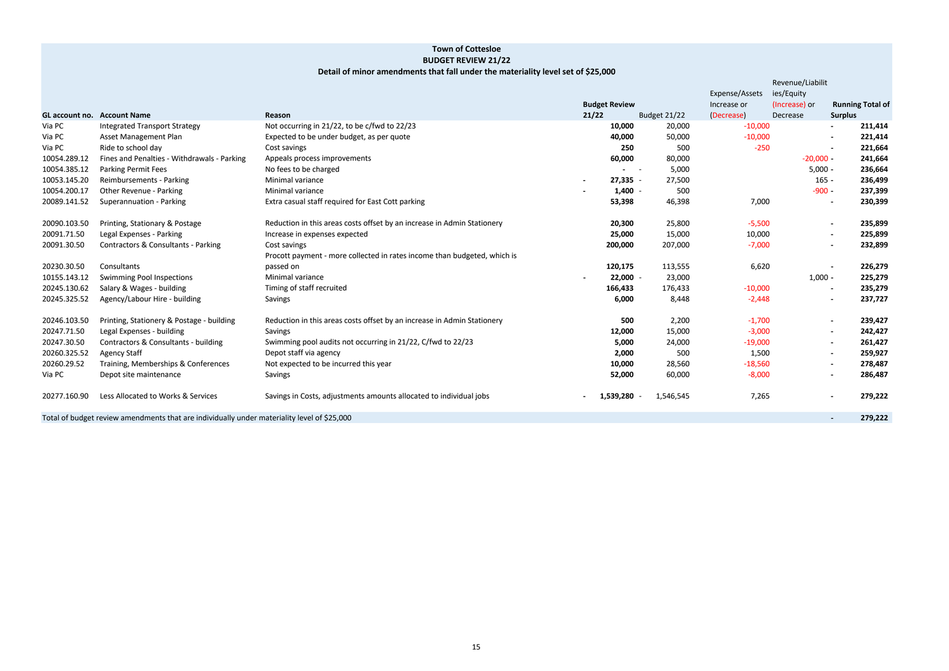|                | Revenue/Liabilit |                |                         |
|----------------|------------------|----------------|-------------------------|
| Expense/Assets | ies/Equity       |                |                         |
| Increase or    | (Increase) or    |                | <b>Running Total of</b> |
| (Decrease)     | Decrease         | <b>Surplus</b> |                         |
| $-10,000$      |                  |                | 211,414                 |
| $-10,000$      |                  |                | 221,414                 |
| $-250$         |                  |                | 221,664                 |
|                | $-20,000 -$      |                | 241,664                 |
|                | $5,000 -$        |                | 236,664                 |
|                | $165 -$          |                | 236,499                 |
|                | $-900 -$         |                | 237,399                 |
| 7,000          |                  |                | 230,399                 |
|                |                  |                |                         |
| $-5,500$       |                  |                | 235,899                 |
| 10,000         |                  |                | 225,899                 |
| $-7,000$       |                  |                | 232,899                 |
|                |                  |                |                         |
| 6,620          |                  |                | 226,279                 |
|                | $1,000 -$        |                | 225,279                 |
| $-10,000$      |                  |                | 235,279                 |
| $-2,448$       |                  |                | 237,727                 |
|                |                  |                |                         |
| $-1,700$       |                  |                | 239,427                 |
| $-3,000$       |                  |                | 242,427                 |
| $-19,000$      |                  |                | 261,427                 |
| 1,500          |                  |                | 259,927                 |
| $-18,560$      |                  |                | 278,487                 |
| $-8,000$       |                  |                | 286,487                 |
|                |                  |                |                         |
| 7,265          |                  |                | 279,222                 |
|                |                  |                |                         |
|                |                  |                | 279.222                 |

### **Detail of minor amendments that fall under the materiality level set of \$25,000**

|              |                                                                                                                 |                                                                          |                              |              | <b>LAPCITOLIA</b> | 103/1401      |                           |
|--------------|-----------------------------------------------------------------------------------------------------------------|--------------------------------------------------------------------------|------------------------------|--------------|-------------------|---------------|---------------------------|
|              |                                                                                                                 |                                                                          | <b>Budget Review</b>         |              | Increase or       | (Increase) or | <b>Running Total o</b>    |
|              | <b>GL account no. Account Name</b>                                                                              | Reason                                                                   | 21/22                        | Budget 21/22 | (Decrease)        | Decrease      | <b>Surplus</b>            |
| Via PC       | <b>Integrated Transport Strategy</b>                                                                            | Not occurring in 21/22, to be c/fwd to 22/23                             | 10,000                       | 20,000       | $-10,000$         |               | 211,414<br>$\blacksquare$ |
| Via PC       | Asset Management Plan                                                                                           | Expected to be under budget, as per quote                                | 40,000                       | 50,000       | $-10,000$         |               | 221,414<br>$\sim$         |
| Via PC       | Ride to school day                                                                                              | Cost savings                                                             | 250                          | 500          | $-250$            |               | 221,664<br>$\blacksquare$ |
| 10054.289.12 | Fines and Penalties - Withdrawals - Parking                                                                     | Appeals process improvements                                             | 60,000                       | 80,000       |                   | $-20,000 -$   | 241,664                   |
| 10054.385.12 | <b>Parking Permit Fees</b>                                                                                      | No fees to be charged                                                    | $\sim$ 100 $\sim$ 100 $\sim$ | 5,000        |                   | $5,000 -$     | 236,664                   |
| 10053.145.20 | Reimbursements - Parking                                                                                        | Minimal variance                                                         | $27,335 -$                   | 27,500       |                   | $165 -$       | 236,499                   |
| 10054.200.17 | Other Revenue - Parking                                                                                         | Minimal variance                                                         | $1,400 -$                    | 500          |                   | $-900 -$      | 237,399                   |
| 20089.141.52 | Superannuation - Parking                                                                                        | Extra casual staff required for East Cott parking                        | 53,398                       | 46,398       | 7,000             |               | 230,399<br>$\sim$         |
| 20090.103.50 | Printing, Stationary & Postage                                                                                  | Reduction in this areas costs offset by an increase in Admin Stationery  | 20,300                       | 25,800       | $-5,500$          |               | 235,899                   |
| 20091.71.50  | Legal Expenses - Parking                                                                                        | Increase in expenses expected                                            | 25,000                       | 15,000       | 10,000            |               | 225,899<br>$\sim$         |
| 20091.30.50  | Contractors & Consultants - Parking                                                                             | Cost savings                                                             | 200,000                      | 207,000      | $-7,000$          |               | 232,899<br>$\sim$         |
|              |                                                                                                                 | Procott payment - more collected in rates income than budgeted, which is |                              |              |                   |               |                           |
| 20230.30.50  | Consultants                                                                                                     | passed on                                                                | 120,175                      | 113,555      | 6,620             |               | 226,279                   |
| 10155.143.12 | <b>Swimming Pool Inspections</b>                                                                                | Minimal variance                                                         | $22,000 -$                   | 23,000       |                   | $1,000 -$     | 225,279                   |
| 20245.130.62 | Salary & Wages - building                                                                                       | Timing of staff recruited                                                | 166,433                      | 176,433      | $-10,000$         |               | 235,279<br>$\blacksquare$ |
| 20245.325.52 | Agency/Labour Hire - building                                                                                   | Savings                                                                  | 6,000                        | 8,448        | $-2,448$          |               | 237,727<br>$\sim$         |
| 20246.103.50 | Printing, Stationery & Postage - building                                                                       | Reduction in this areas costs offset by an increase in Admin Stationery  | 500                          | 2,200        | $-1,700$          |               | 239,427<br>$\sim$         |
| 20247.71.50  | Legal Expenses - building                                                                                       | Savings                                                                  | 12,000                       | 15,000       | $-3,000$          |               | 242,427<br>$\sim$         |
| 20247.30.50  | Contractors & Consultants - building                                                                            | Swimming pool audits not occurring in 21/22, C/fwd to 22/23              | 5,000                        | 24,000       | $-19,000$         |               | 261,427<br>$\sim$         |
| 20260.325.52 | <b>Agency Staff</b>                                                                                             | Depot staff via agency                                                   | 2,000                        | 500          | 1,500             |               | 259,927<br>$\sim$         |
| 20260.29.52  | Training, Memberships & Conferences                                                                             | Not expected to be incurred this year                                    | 10,000                       | 28,560       | $-18,560$         |               | 278,487<br>$\sim$         |
| Via PC       | Depot site maintenance                                                                                          | Savings                                                                  | 52,000                       | 60,000       | $-8,000$          |               | 286,487<br>$\sim$         |
| 20277.160.90 | Less Allocated to Works & Services                                                                              | Savings in Costs, adjustments amounts allocated to individual jobs       | 1,539,280                    | 1,546,545    | 7,265             |               | 279,222<br>$\sim$         |
|              | the contract of the contract of the contract of the contract of the contract of the contract of the contract of |                                                                          |                              |              |                   |               |                           |

Total of budget review amendments that are individually under materiality level of \$25,000 **<b>129,2221 129,2221 129,2221 129,2221 129,2221 129,2221 129,2221 129,2221 129,2221 129,2221 129,2221 129,2221**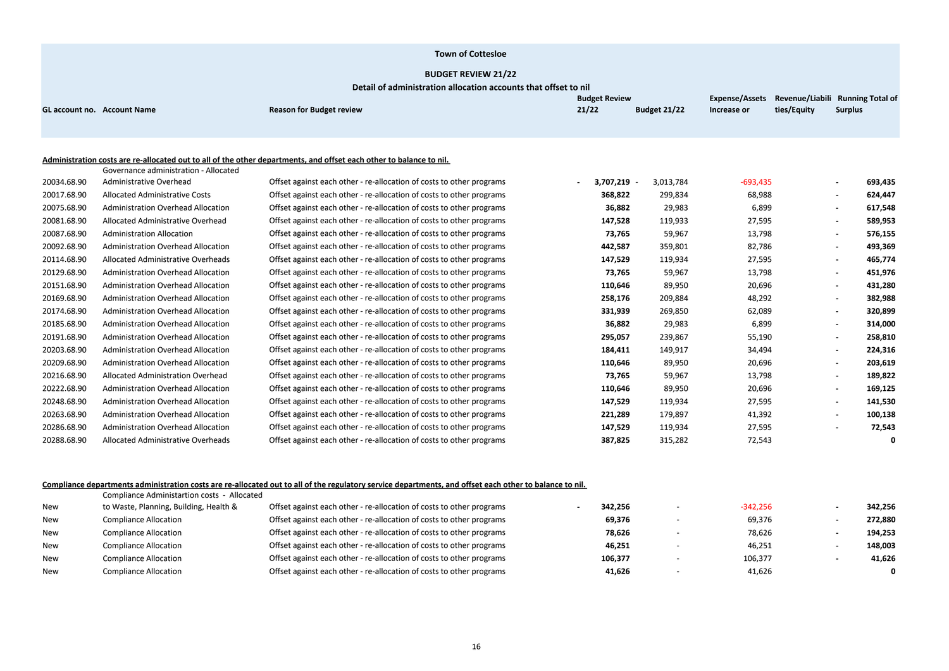| 342,256 | $-342,256$ |
|---------|------------|
| 272,880 | 69,376     |
| 194,253 | 78,626     |
| 148,003 | 46,251     |
| 41,626  | 106,377    |
| 0       | 41,626     |

| Increase or | ties/Equity | <b>Surplus</b> |         |
|-------------|-------------|----------------|---------|
|             |             |                |         |
|             |             |                |         |
|             |             |                |         |
|             |             |                |         |
| $-693,435$  |             |                | 693,435 |
| 68,988      |             |                | 624,447 |
| 6,899       |             |                | 617,548 |
| 27,595      |             |                | 589,953 |
| 13,798      |             |                | 576,155 |
| 82,786      |             |                | 493,369 |
| 27,595      |             |                | 465,774 |
| 13,798      |             |                | 451,976 |
| 20,696      |             |                | 431,280 |
| 48,292      |             |                | 382,988 |
| 62,089      |             |                | 320,899 |
| 6,899       |             |                | 314,000 |
| 55,190      |             |                | 258,810 |
| 34,494      |             |                | 224,316 |
| 20,696      |             |                | 203,619 |
| 13,798      |             |                | 189,822 |
| 20,696      |             |                | 169,125 |
| 27,595      |             |                | 141,530 |
| 41,392      |             |                | 100,138 |
| 27,595      |             |                | 72,543  |
| 72,543      |             |                | 0       |

|                                    |                                           |                                                                                                                     | <b>Budget Review</b> |                     | Expense/Assets Revenue/Liabili Running Total o |             |                                     |  |
|------------------------------------|-------------------------------------------|---------------------------------------------------------------------------------------------------------------------|----------------------|---------------------|------------------------------------------------|-------------|-------------------------------------|--|
| <b>GL account no. Account Name</b> |                                           | <b>Reason for Budget review</b>                                                                                     | 21/22                | <b>Budget 21/22</b> | Increase or                                    | ties/Equity | <b>Surplus</b>                      |  |
|                                    |                                           |                                                                                                                     |                      |                     |                                                |             |                                     |  |
|                                    |                                           |                                                                                                                     |                      |                     |                                                |             |                                     |  |
|                                    |                                           | Administration costs are re-allocated out to all of the other departments, and offset each other to balance to nil. |                      |                     |                                                |             |                                     |  |
|                                    | Governance administration - Allocated     |                                                                                                                     |                      |                     |                                                |             |                                     |  |
| 20034.68.90                        | Administrative Overhead                   | Offset against each other - re-allocation of costs to other programs                                                | 3,707,219 -          | 3,013,784           | $-693,435$                                     |             | 693,435                             |  |
| 20017.68.90                        | Allocated Administrative Costs            | Offset against each other - re-allocation of costs to other programs                                                | 368,822              | 299,834             | 68,988                                         |             | 624,447                             |  |
| 20075.68.90                        | <b>Administration Overhead Allocation</b> | Offset against each other - re-allocation of costs to other programs                                                | 36,882               | 29,983              | 6,899                                          |             | 617,548                             |  |
| 20081.68.90                        | Allocated Administrative Overhead         | Offset against each other - re-allocation of costs to other programs                                                | 147,528              | 119,933             | 27,595                                         |             | 589,953<br>$\blacksquare$           |  |
| 20087.68.90                        | <b>Administration Allocation</b>          | Offset against each other - re-allocation of costs to other programs                                                | 73,765               | 59,967              | 13,798                                         |             | 576,155                             |  |
| 20092.68.90                        | <b>Administration Overhead Allocation</b> | Offset against each other - re-allocation of costs to other programs                                                | 442,587              | 359,801             | 82,786                                         |             | 493,369                             |  |
| 20114.68.90                        | Allocated Administrative Overheads        | Offset against each other - re-allocation of costs to other programs                                                | 147,529              | 119,934             | 27,595                                         |             | 465,774<br>$\blacksquare$           |  |
| 20129.68.90                        | <b>Administration Overhead Allocation</b> | Offset against each other - re-allocation of costs to other programs                                                | 73,765               | 59,967              | 13,798                                         |             | 451,976                             |  |
| 20151.68.90                        | <b>Administration Overhead Allocation</b> | Offset against each other - re-allocation of costs to other programs                                                | 110,646              | 89,950              | 20,696                                         |             | 431,280<br>$\overline{\phantom{a}}$ |  |
| 20169.68.90                        | <b>Administration Overhead Allocation</b> | Offset against each other - re-allocation of costs to other programs                                                | 258,176              | 209,884             | 48,292                                         |             | 382,988                             |  |
| 20174.68.90                        | <b>Administration Overhead Allocation</b> | Offset against each other - re-allocation of costs to other programs                                                | 331,939              | 269,850             | 62,089                                         |             | 320,899                             |  |
| 20185.68.90                        | <b>Administration Overhead Allocation</b> | Offset against each other - re-allocation of costs to other programs                                                | 36,882               | 29,983              | 6,899                                          |             | 314,000                             |  |
| 20191.68.90                        | Administration Overhead Allocation        | Offset against each other - re-allocation of costs to other programs                                                | 295,057              | 239,867             | 55,190                                         |             | 258,810<br>$\blacksquare$           |  |
| 20203.68.90                        | <b>Administration Overhead Allocation</b> | Offset against each other - re-allocation of costs to other programs                                                | 184,411              | 149,917             | 34,494                                         |             | 224,316                             |  |
| 20209.68.90                        | <b>Administration Overhead Allocation</b> | Offset against each other - re-allocation of costs to other programs                                                | 110,646              | 89,950              | 20,696                                         |             | 203,619<br>$\blacksquare$           |  |
| 20216.68.90                        | Allocated Administration Overhead         | Offset against each other - re-allocation of costs to other programs                                                | 73,765               | 59,967              | 13,798                                         |             | 189,822                             |  |
| 20222.68.90                        | <b>Administration Overhead Allocation</b> | Offset against each other - re-allocation of costs to other programs                                                | 110,646              | 89,950              | 20,696                                         |             | 169,125<br>$\blacksquare$           |  |
| 20248.68.90                        | <b>Administration Overhead Allocation</b> | Offset against each other - re-allocation of costs to other programs                                                | 147,529              | 119,934             | 27,595                                         |             | 141,530                             |  |
| 20263.68.90                        | <b>Administration Overhead Allocation</b> | Offset against each other - re-allocation of costs to other programs                                                | 221,289              | 179,897             | 41,392                                         |             | 100,138                             |  |
| 20286.68.90                        | <b>Administration Overhead Allocation</b> | Offset against each other - re-allocation of costs to other programs                                                | 147,529              | 119,934             | 27,595                                         |             | 72,543                              |  |
| 20288.68.90                        | Allocated Administrative Overheads        | Offset against each other - re-allocation of costs to other programs                                                | 387,825              | 315,282             | 72,543                                         |             |                                     |  |

#### <u>Compliance departments administration costs are re-allocated out to all of the regulatory service departments, and offset each other to balance to nil.</u>

|            | Compliance Administartion costs - Allocated |                                                                      |         |            |         |
|------------|---------------------------------------------|----------------------------------------------------------------------|---------|------------|---------|
| New        | to Waste, Planning, Building, Health &      | Offset against each other - re-allocation of costs to other programs | 342,256 | $-342,256$ | 342,256 |
| New        | <b>Compliance Allocation</b>                | Offset against each other - re-allocation of costs to other programs | 69,376  | 69,376     | 272,880 |
| New        | <b>Compliance Allocation</b>                | Offset against each other - re-allocation of costs to other programs | 78,626  | 78,626     | 194,253 |
| New        | <b>Compliance Allocation</b>                | Offset against each other - re-allocation of costs to other programs | 46,251  | 46,251     | 148,003 |
| <b>New</b> | <b>Compliance Allocation</b>                | Offset against each other - re-allocation of costs to other programs | 106,377 | 106,377    | 41,626  |
| <b>New</b> | <b>Compliance Allocation</b>                | Offset against each other - re-allocation of costs to other programs | 41.626  | 41,626     |         |
|            |                                             |                                                                      |         |            |         |

#### **Town of Cottesloe**

#### **BUDGET REVIEW 21/22**

**Detail of administration allocation accounts that offset to nil**